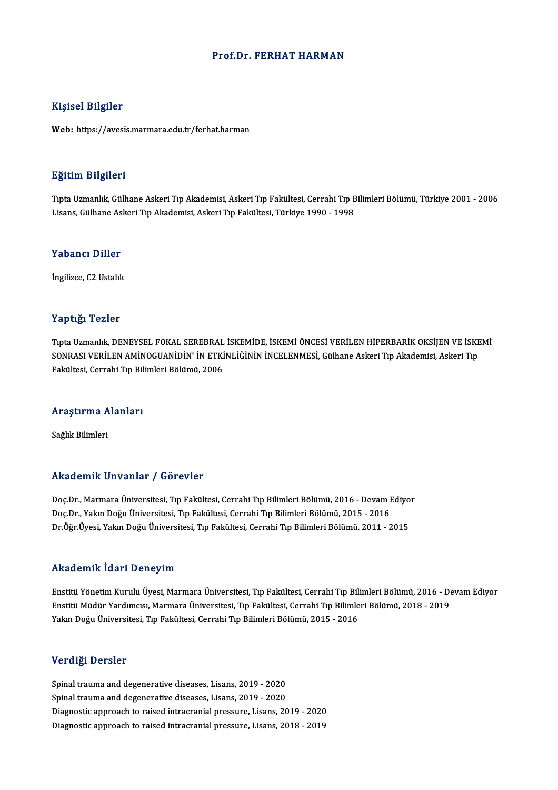### Prof.Dr. FERHAT HARMAN

### Kişisel Bilgiler

Web: https://avesis.marmara.edu.tr/ferhat.harman

### Eğitim Bilgileri

**Eğitim Bilgileri**<br>Tıpta Uzmanlık, Gülhane Askeri Tıp Akademisi, Askeri Tıp Fakültesi, Cerrahi Tıp Bilimleri Bölümü, Türkiye 2001 - 2006<br>Lisans, Gülhane Askeri Tın Akademisi, Askeri Tın Fakültesi, Türkiye 1999, 1999 Lisansın Daryasori<br>Tıpta Uzmanlık, Gülhane Askeri Tıp Akademisi, Askeri Tıp Fakültesi, Cerrahi Tıp B<br>Lisans, Gülhane Askeri Tıp Akademisi, Askeri Tıp Fakültesi, Türkiye 1990 - 1998 Lisans, Gülhane Askeri Tıp Akademisi, Askeri Tıp Fakültesi, Türkiye 1990 - 1998<br>Yabancı Diller

İngilizce, C2 Ustalık

### Yaptığı Tezler

Yaptığı Tezler<br>Tıpta Uzmanlık, DENEYSEL FOKAL SEREBRAL İSKEMİDE, İSKEMİ ÖNCESİ VERİLEN HİPERBARİK OKSİJEN VE İSKEMİ<br>SONRASI VERİLEN AMİNOCUANİDİN' İN ETKİNI İĞİNİN İNCELENMESİ, Gülbara Askarı Tır Akademisi, Askarı Tır Tüptiği Teller<br>Tıpta Uzmanlık, DENEYSEL FOKAL SEREBRAL İSKEMİDE, İSKEMİ ÖNCESİ VERİLEN HİPERBARİK OKSİJEN VE İSKE<br>SONRASI VERİLEN AMİNOGUANİDİN' İN ETKİNLİĞİNİN İNCELENMESİ, Gülhane Askeri Tıp Akademisi, Askeri Tıp Tıpta Uzmanlık, DENEYSEL FOKAL SEREBRAL<br>SONRASI VERİLEN AMİNOGUANİDİN' İN ETKİ<br>Fakültesi, Cerrahi Tıp Bilimleri Bölümü, 2006

# rakullesi, cerrani 11p bil<br>Araştırma Alanları <mark>Araştırma A</mark><br>Sağlık Bilimleri

# Akademik Unvanlar / Görevler

Akademik Unvanlar / Görevler<br>Doç.Dr., Marmara Üniversitesi, Tıp Fakültesi, Cerrahi Tıp Bilimleri Bölümü, 2016 - Devam Ediyor<br>Dos.Dr., Yalın Doğu Üniversitesi, Tıp Fakültesi, Cerrahi Tıp Bilimleri Bölümü, 2015 - 2016 rındu olirin "Əlivulirdi" / "Əlivəvici"<br>Doç.Dr., Marmara Üniversitesi, Tıp Fakültesi, Cerrahi Tıp Bilimleri Bölümü, 2016 - Devam I<br>Doç.Dr., Yakın Doğu Üniversitesi, Tıp Fakültesi, Cerrahi Tıp Bilimleri Bölümü, 2015 - 2016<br> Doç.Dr., Yakın Doğu Üniversitesi, Tıp Fakültesi, Cerrahi Tıp Bilimleri Bölümü, 2015 - 2016<br>Dr.Öğr.Üyesi, Yakın Doğu Üniversitesi, Tıp Fakültesi, Cerrahi Tıp Bilimleri Bölümü, 2011 - 2015

### Akademik İdari Deneyim

Akademik İdari Deneyim<br>Enstitü Yönetim Kurulu Üyesi, Marmara Üniversitesi, Tıp Fakültesi, Cerrahi Tıp Bilimleri Bölümü, 2016 - Devam Ediyor<br>Enstitü Müdür Yardımcısı, Marmara Üniversitesi, Tıp Fakültesi, Cerrahi Tıp Bilimle Enstitü Yönetim Kurı'ı Dönöy'ni.<br>Enstitü Yönetim Kurulu Üyesi, Marmara Üniversitesi, Tıp Fakültesi, Cerrahi Tıp Bilimleri Bölümü, 2016 - De<br>Yakın Doğu Üniversitesi Tın Fakültesi, Cerrahi Tın Bilimleri Bölümü, 2015 - 2016<br>Y Enstitü Yönetim Kurulu Üyesi, Marmara Üniversitesi, Tıp Fakültesi, Cerrahi Tıp Bili<br>Enstitü Müdür Yardımcısı, Marmara Üniversitesi, Tıp Fakültesi, Cerrahi Tıp Bilimle<br>Yakın Doğu Üniversitesi, Tıp Fakültesi, Cerrahi Tıp Bil Yakın Doğu Üniversitesi, Tıp Fakültesi, Cerrahi Tıp Bilimleri Bölümü, 2015 - 2016<br>Verdiği Dersler

Spinal trauma and degenerative diseases, Lisans, 2019 - 2020 Spinal trauma and degenerative diseases, Lisans, 2019 - 2020 Diagnostic approach to raised intracranial pressure, Lisans, 2019 - 2020 Diagnostic approach to raised intracranial pressure, Lisans, 2018 - 2019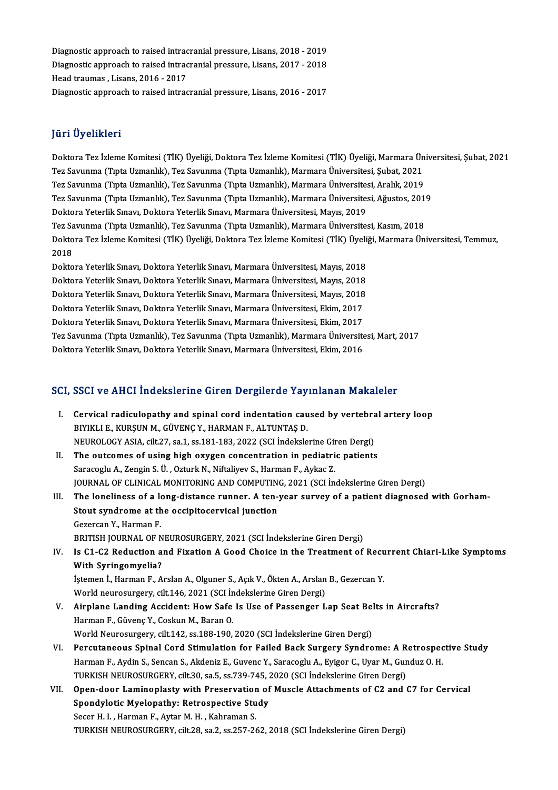Diagnostic approach to raised intracranial pressure, Lisans, 2018 - 2019<br>Diagnostic approach to raised intracranial pressure, Lisans, 2018 - 2019 Diagnostic approach to raised intracranial pressure, Lisans, 2018 - 2019<br>Diagnostic approach to raised intracranial pressure, Lisans, 2017 - 2018<br>Head traumas, Lisans, 2016, 2017 Diagnostic approach to raised intrac<br>Diagnostic approach to raised intrac<br>Head traumas , Lisans, 2016 - 2017<br>Diagnostic approach to raised intrac Diagnostic approach to raised intracranial pressure, Lisans, 2017 - 2018<br>Head traumas , Lisans, 2016 - 2017<br>Diagnostic approach to raised intracranial pressure, Lisans, 2016 - 2017

### JüriÜyelikleri

J<mark>üri Üyelikleri</mark><br>Doktora Tez İzleme Komitesi (TİK) Üyeliği, Doktora Tez İzleme Komitesi (TİK) Üyeliği, Marmara Üniversitesi, Şubat, 2021<br>Tez Sayunma (Tınta Uzmanlık), Tez Sayunma (Tınta Uzmanlık), Marmara Üniversitesi, Su Jarr Oyommorr<br>Doktora Tez İzleme Komitesi (TİK) Üyeliği, Doktora Tez İzleme Komitesi (TİK) Üyeliği, Marmara Ün<br>Tez Savunma (Tıpta Uzmanlık), Tez Savunma (Tıpta Uzmanlık), Marmara Üniversitesi, Şubat, 2021<br>Tez Savunma (Tıpt Doktora Tez İzleme Komitesi (TİK) Üyeliği, Doktora Tez İzleme Komitesi (TİK) Üyeliği, Marmara Ün<br>Tez Savunma (Tıpta Uzmanlık), Tez Savunma (Tıpta Uzmanlık), Marmara Üniversitesi, Şubat, 2021<br>Tez Savunma (Tıpta Uzmanlık), T Tez Savunma (Tıpta Uzmanlık), Tez Savunma (Tıpta Uzmanlık), Marmara Üniversitesi, Şubat, 2021<br>Tez Savunma (Tıpta Uzmanlık), Tez Savunma (Tıpta Uzmanlık), Marmara Üniversitesi, Aralık, 2019<br>Tez Savunma (Tıpta Uzmanlık), Tez Tez Savunma (Tıpta Uzmanlık), Tez Savunma (Tıpta Uzmanlık), Marmara Üniversite:<br>Tez Savunma (Tıpta Uzmanlık), Tez Savunma (Tıpta Uzmanlık), Marmara Üniversite:<br>Doktora Yeterlik Sınavı, Doktora Yeterlik Sınavı, Marmara Üniv Tez Savunma (Tıpta Uzmanlık), Tez Savunma (Tıpta Uzmanlık), Marmara Üniversitesi, Ağustos, 201'<br>Doktora Yeterlik Sınavı, Doktora Yeterlik Sınavı, Marmara Üniversitesi, Mayıs, 2019<br>Tez Savunma (Tıpta Uzmanlık), Tez Savunma Doktora Yeterlik Sınavı, Doktora Yeterlik Sınavı, Marmara Üniversitesi, Mayıs, 2019<br>Tez Savunma (Tıpta Uzmanlık), Tez Savunma (Tıpta Uzmanlık), Marmara Üniversitesi, Kasım, 2018<br>Doktora Tez İzleme Komitesi (TİK) Üyeliği, D Tez Savunma (Tıpta Uzmanlık), Tez Savunma (Tıpta Uzmanlık), Marmara Üniversitesi, Kasım, 2018<br>Doktora Tez İzleme Komitesi (TİK) Üyeliği, Doktora Tez İzleme Komitesi (TİK) Üyeliği, Marmara Ün<br>2018<br>Doktora Yeterlik Sınavı, D Doktora Tez İzleme Komitesi (TİK) Üyeliği, Doktora Tez İzleme Komitesi (TİK) Üyeli<br>2018<br>Doktora Yeterlik Sınavı, Doktora Yeterlik Sınavı, Marmara Üniversitesi, Mayıs, 2018<br>Doktora Yeterlik Sınavı, Doktora Yeterlik Sınavı,

2018<br>Doktora Yeterlik Sınavı, Doktora Yeterlik Sınavı, Marmara Üniversitesi, Mayıs, 2018<br>Doktora Yeterlik Sınavı, Doktora Yeterlik Sınavı, Marmara Üniversitesi, Mayıs, 2018<br>Doktora Yeterlik Sınavı, Doktora Yeterlik Sınavı, Doktora Yeterlik Sınavı, Doktora Yeterlik Sınavı, Marmara Üniversitesi, Mayıs, 2018<br>Doktora Yeterlik Sınavı, Doktora Yeterlik Sınavı, Marmara Üniversitesi, Mayıs, 2018<br>Doktora Yeterlik Sınavı, Doktora Yeterlik Sınavı, Marm Doktora Yeterlik Sınavı, Doktora Yeterlik Sınavı, Marmara Üniversitesi, Mayıs, 2018<br>Doktora Yeterlik Sınavı, Doktora Yeterlik Sınavı, Marmara Üniversitesi, Mayıs, 2018<br>Doktora Yeterlik Sınavı, Doktora Yeterlik Sınavı, Marm Doktora Yeterlik Sınavı, Doktora Yeterlik Sınavı, Marmara Üniversitesi, Mayıs, 2018<br>Doktora Yeterlik Sınavı, Doktora Yeterlik Sınavı, Marmara Üniversitesi, Ekim, 2017<br>Doktora Yeterlik Sınavı, Doktora Yeterlik Sınavı, Marma Doktora Yeterlik Sınavı, Doktora Yeterlik Sınavı, Marmara Üniversitesi, Ekim, 2017<br>Doktora Yeterlik Sınavı, Doktora Yeterlik Sınavı, Marmara Üniversitesi, Ekim, 2017<br>Tez Savunma (Tıpta Uzmanlık), Tez Savunma (Tıpta Uzmanlı Doktora Yeterlik Sınavı, Doktora Yeterlik Sınavı, Marmara Üniversitesi, Ekim, 2017<br>Tez Savunma (Tıpta Uzmanlık), Tez Savunma (Tıpta Uzmanlık), Marmara Üniversite<br>Doktora Yeterlik Sınavı, Doktora Yeterlik Sınavı, Marmara Ün

# Doktora Yeterlik Sınavı, Doktora Yeterlik Sınavı, Marmara Üniversitesi, Ekim, 2016<br>SCI, SSCI ve AHCI İndekslerine Giren Dergilerde Yayınlanan Makaleler

- CI, SSCI ve AHCI İndekslerine Giren Dergilerde Yayınlanan Makaleler<br>I. Cervical radiculopathy and spinal cord indentation caused by vertebral artery loop<br>RIVIVI I.E. WIRSIN M. CÜVENC V. HARMAN E. ALTINTAS D BBB1 Ve TIMET INCENSIONING CH ON BELGIEVICE TILY<br>Cervical radiculopathy and spinal cord indentation cau<br>BIYIKLI E., KURŞUN M., GÜVENÇ Y., HARMAN F., ALTUNTAŞ D. Cervical radiculopathy and spinal cord indentation caused by vertebra<br>BIYIKLI E., KURŞUN M., GÜVENÇ Y., HARMAN F., ALTUNTAŞ D.<br>NEUROLOGY ASIA, cilt.27, sa.1, ss.181-183, 2022 (SCI İndekslerine Giren Dergi)<br>The eutsemes of BIYIKLI E., KURŞUN M., GÜVENÇ Y., HARMAN F., ALTUNTAŞ D.<br>NEUROLOGY ASIA, cilt.27, sa.1, ss.181-183, 2022 (SCI İndekslerine Giren Dergi)<br>II. The outcomes of using high oxygen concentration in pediatric patients<br>Saragoslu A.
- NEUROLOGY ASIA, cilt.27, sa.1, ss.181-183, 2022 (SCI İndekslerine Gir<br>The outcomes of using high oxygen concentration in pediatri<br>Saracoglu A., Zengin S. Ü. , Ozturk N., Niftaliyev S., Harman F., Aykac Z.<br>JOUPMAL OF CLINIC Saracoglu A., Zengin S. Ü. , Ozturk N., Niftaliyev S., Harman F., Aykac Z.<br>JOURNAL OF CLINICAL MONITORING AND COMPUTING, 2021 (SCI İndekslerine Giren Dergi) Saracoglu A., Zengin S. Ü. , Ozturk N., Niftaliyev S., Harman F., Aykac Z.<br>JOURNAL OF CLINICAL MONITORING AND COMPUTING, 2021 (SCI Indekslerine Giren Dergi)<br>III. The loneliness of a long-distance runner. A ten-year survey
- JOURNAL OF CLINICAL MONITORING AND COMPUTING<br>The loneliness of a long-distance runner. A ten-<br>Stout syndrome at the occipitocervical junction<br>Cozorson V, Harman E The loneliness of a lo<br>Stout syndrome at th<br>Gezercan Y., Harman F.<br>PRITISH JOURNAL OF N Stout syndrome at the occipitocervical junction<br>Gezercan Y., Harman F.<br>BRITISH JOURNAL OF NEUROSURGERY, 2021 (SCI İndekslerine Giren Dergi)<br>Is C1 C2 Bedustion and Eixation A Cood Choise in the Treatment of
- Gezercan Y., Harman F.<br>BRITISH JOURNAL OF NEUROSURGERY, 2021 (SCI Indekslerine Giren Dergi)<br>IV. Is C1-C2 Reduction and Fixation A Good Choice in the Treatment of Recurrent Chiari-Like Symptoms<br>With Syringomyelia? BRITISH JOURNAL OF N<br>Is C1-C2 Reduction a<br>With Syringomyelia? Is C1-C2 Reduction and Fixation A Good Choice in the Treatment of Recu<br>With Syringomyelia?<br>İştemen İ., Harman F., Arslan A., Olguner S., Açık V., Ökten A., Arslan B., Gezercan Y.<br>Werld nauvesursery, silt 146, 2021 (SCI İnd With Syringomyelia?<br>İştemen İ., Harman F., Arslan A., Olguner S., Açık V., Ökten A., Arslan<br>World neurosurgery, cilt.146, 2021 (SCI İndekslerine Giren Dergi)<br>Airplane Landing Assident: How Safa Is Use of Bessengen L
- iştemen İ., Harman F., Arslan A., Olguner S., Açık V., Ökten A., Arslan B., Gezercan Y.<br>World neurosurgery, cilt.146, 2021 (SCI İndekslerine Giren Dergi)<br>V. Airplane Landing Accident: How Safe Is Use of Passenger Lap Seat World neurosurgery, cilt.146, 2021 (SCI İndekslerine Giren Dergi)<br>Airplane Landing Accident: How Safe Is Use of Passenger Lap Seat Be<br>Harman F., Güvenç Y., Coskun M., Baran O.<br>World Neurosurgery, cilt.142, ss.188-190, 2020 Airplane Landing Accident: How Safe Is Use of Passenger Lap Seat Bel<br>Harman F., Güvenç Y., Coskun M., Baran O.<br>World Neurosurgery, cilt.142, ss.188-190, 2020 (SCI İndekslerine Giren Dergi)<br>Barautaneous Spinal Card Stimulat
- VI. Percutaneous Spinal Cord Stimulation for Failed Back Surgery Syndrome: A Retrospective Study World Neurosurgery, cilt.142, ss.188-190, 2020 (SCI İndekslerine Giren Dergi)<br>Percutaneous Spinal Cord Stimulation for Failed Back Surgery Syndrome: A Retrospec<br>Harman F., Aydin S., Sencan S., Akdeniz E., Guvenc Y., Saraco Percutaneous Spinal Cord Stimulation for Failed Back Surgery Syndrome: A R<br>Harman F., Aydin S., Sencan S., Akdeniz E., Guvenc Y., Saracoglu A., Eyigor C., Uyar M., Gur<br>TURKISH NEUROSURGERY, cilt.30, sa.5, ss.739-745, 2020 Harman F., Aydin S., Sencan S., Akdeniz E., Guvenc Y., Saracoglu A., Eyigor C., Uyar M., Gunduz O. H.<br>TURKISH NEUROSURGERY, cilt.30, sa.5, ss.739-745, 2020 (SCI İndekslerine Giren Dergi)<br>VII. Open-door Laminoplasty with Pr
- TURKISH NEUROSURGERY, cilt.30, sa.5, ss.739-745, 2<br>Open-door Laminoplasty with Preservation of<br>Spondylotic Myelopathy: Retrospective Study Open-door Laminoplasty with Preservation<br>Spondylotic Myelopathy: Retrospective Stu<br>Secer H. I. , Harman F., Aytar M. H. , Kahraman S.<br>TURKISH NEUPOSURCERY sitt 28 sa 2 ss 257 24 Secer H. I. , Harman F., Aytar M. H. , Kahraman S.<br>TURKISH NEUROSURGERY, cilt.28, sa.2, ss.257-262, 2018 (SCI İndekslerine Giren Dergi)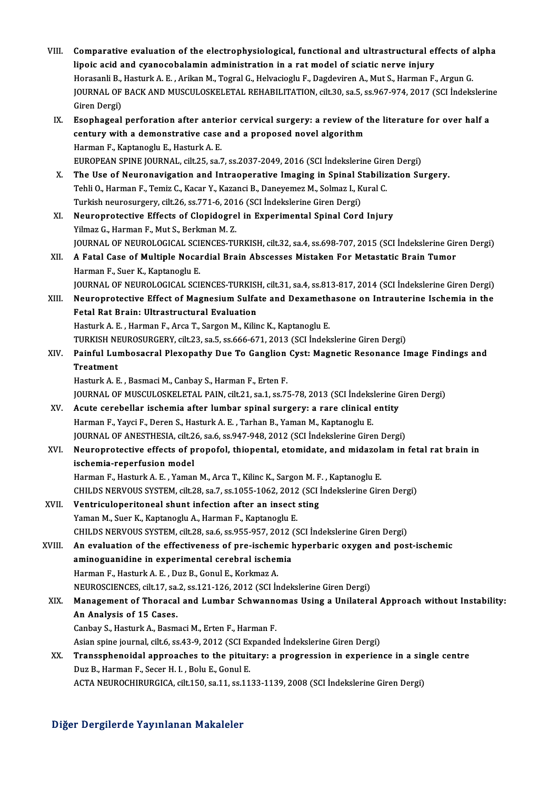VIII. Comparative evaluation of the electrophysiological, functional and ultrastructural effects of alpha<br>lineis asid and syanosabalamin administration in a rat model of saistic neuve injury. Comparative evaluation of the electrophysiological, functional and ultrastructural ef<br>lipoic acid and cyanocobalamin administration in a rat model of sciatic nerve injury<br>Hanasanli B. Hasturk A. E. Arikan M. Tegral C. Hakr Comparative evaluation of the electrophysiological, functional and ultrastructural effects of a<br>lipoic acid and cyanocobalamin administration in a rat model of sciatic nerve injury<br>Horasanli B., Hasturk A. E. , Arikan M., lipoic acid and cyanocobalamin administration in a rat model of sciatic nerve injury<br>Horasanli B., Hasturk A. E. , Arikan M., Togral G., Helvacioglu F., Dagdeviren A., Mut S., Harman F., Argun G.<br>JOURNAL OF BACK AND MUSCUL Horasanli B.,<br>JOURNAL OF<br>Giren Dergi)<br>Esonhagoal JOURNAL OF BACK AND MUSCULOSKELETAL REHABILITATION, cilt.30, sa.5, ss.967-974, 2017 (SCI Indekslerin<br>Giren Dergi)<br>IX. Esophageal perforation after anterior cervical surgery: a review of the literature for over half a<br>contu Giren Dergi)<br>Esophageal perforation after anterior cervical surgery: a review of t<br>century with a demonstrative case and a proposed novel algorithm<br>Harman E. Kantanoslu E. Hasturk A. E century with a demonstrative case and a proposed novel algorithm<br>Harman F., Kaptanoglu E., Hasturk A. E. EUROPEAN SPINE JOURNAL, cilt.25, sa.7, ss.2037-2049, 2016 (SCI İndekslerine Giren Dergi) Harman F., Kaptanoglu E., Hasturk A. E.<br>EUROPEAN SPINE JOURNAL, cilt.25, sa.7, ss.2037-2049, 2016 (SCI Indekslerine Giren Dergi)<br>X. The Use of Neuronavigation and Intraoperative Imaging in Spinal Stabilization Surgery.<br>Tob EUROPEAN SPINE JOURNAL, cilt.25, sa.7, ss.2037-2049, 2016 (SCI İndekslerine Gire<br>The Use of Neuronavigation and Intraoperative Imaging in Spinal Stabiliz<br>Tehli O., Harman F., Temiz C., Kacar Y., Kazanci B., Daneyemez M., S The Use of Neuronavigation and Intraoperative Imaging in Spinal S<br>Tehli O., Harman F., Temiz C., Kacar Y., Kazanci B., Daneyemez M., Solmaz I., K<br>Turkish neurosurgery, cilt.26, ss.771-6, 2016 (SCI İndekslerine Giren Dergi) Tehli O., Harman F., Temiz C., Kacar Y., Kazanci B., Daneyemez M., Solmaz I., Kural C.<br>Turkish neurosurgery, cilt.26, ss.771-6, 2016 (SCI İndekslerine Giren Dergi)<br>XI. Neuroprotective Effects of Clopidogrel in Experimental Turkish neurosurgery, cilt.26, ss.771-6, 201<br>Neuroprotective Effects of Clopidogre<br>Yilmaz G., Harman F., Mut S., Berkman M. Z.<br>JOUPMAL OF NEUPOLOCICAL SCIENCES TU Neuroprotective Effects of Clopidogrel in Experimental Spinal Cord Injury<br>Yilmaz G., Harman F., Mut S., Berkman M. Z.<br>JOURNAL OF NEUROLOGICAL SCIENCES-TURKISH, cilt.32, sa.4, ss.698-707, 2015 (SCI İndekslerine Giren Dergi) Yilmaz G., Harman F., Mut S., Berkman M. Z.<br>JOURNAL OF NEUROLOGICAL SCIENCES-TURKISH, cilt.32, sa.4, ss.698-707, 2015 (SCI İndekslerine Gir<br>XII. A Fatal Case of Multiple Nocardial Brain Abscesses Mistaken For Metastati JOURNAL OF NEUROLOGICAL SCI<br>A Fatal Case of Multiple Nocal<br>Harman F., Suer K., Kaptanoglu E.<br>JOURNAL OF NEUROLOGICAL SCI XII. A Fatal Case of Multiple Nocardial Brain Abscesses Mistaken For Metastatic Brain Tumor<br>Harman F., Suer K., Kaptanoglu E.<br>JOURNAL OF NEUROLOGICAL SCIENCES-TURKISH, cilt.31, sa.4, ss.813-817, 2014 (SCI İndekslerine G Harman F., Suer K., Kaptanoglu E.<br>JOURNAL OF NEUROLOGICAL SCIENCES-TURKISH, cilt.31, sa.4, ss.813-817, 2014 (SCI Indekslerine Giren Dergi)<br>XIII. Neuroprotective Effect of Magnesium Sulfate and Dexamethasone on Intrauterine FOURNAL OF NEUROLOGICAL SCIENCES-TURKISH<br>Neuroprotective Effect of Magnesium Sulfa<br>Fetal Rat Brain: Ultrastructural Evaluation<br>Hesturk A. E., Hanman E., Anga T. Sangan M. Kilin Neuroprotective Effect of Magnesium Sulfate and Dexameth<br>Fetal Rat Brain: Ultrastructural Evaluation<br>Hasturk A. E. , Harman F., Arca T., Sargon M., Kilinc K., Kaptanoglu E.<br>TURKISH NEUROSURCERY sit 22 se 5 se 666 671 2012 Fetal Rat Brain: Ultrastructural Evaluation<br>Hasturk A. E. , Harman F., Arca T., Sargon M., Kilinc K., Kaptanoglu E.<br>TURKISH NEUROSURGERY, cilt.23, sa.5, ss.666-671, 2013 (SCI İndekslerine Giren Dergi) Hasturk A. E. , Harman F., Arca T., Sargon M., Kilinc K., Kaptanoglu E.<br>TURKISH NEUROSURGERY, cilt.23, sa.5, ss.666-671, 2013 (SCI İndekslerine Giren Dergi)<br>XIV. Painful Lumbosacral Plexopathy Due To Ganglion Cyst: Mag TURKISH NE<br>Painful Lui<br>Treatment<br>Hosturk A. E Painful Lumbosacral Plexopathy Due To Ganglion<br>Treatment<br>Hasturk A. E. , Basmaci M., Canbay S., Harman F., Erten F.<br>JOUPMAL OF MUSCULOSKELETAL PAIN, sit 21, so 1, ss 7! Treatment<br>Hasturk A. E. , Basmaci M., Canbay S., Harman F., Erten F.<br>JOURNAL OF MUSCULOSKELETAL PAIN, cilt.21, sa.1, ss.75-78, 2013 (SCI İndekslerine Giren Dergi)<br>Agute gerebellar isebemia after lumbar spinal surgeru: a ra Hasturk A. E., Basmaci M., Canbay S., Harman F., Erten F.<br>JOURNAL OF MUSCULOSKELETAL PAIN, cilt.21, sa.1, ss.75-78, 2013 (SCI İndekslerine CXV.<br>XV. Acute cerebellar ischemia after lumbar spinal surgery: a rare clinical ent JOURNAL OF MUSCULOSKELETAL PAIN, cilt.21, sa.1, ss.75-78, 2013 (SCI İndeks)<br>Acute cerebellar ischemia after lumbar spinal surgery: a rare clinical<br>Harman F., Yayci F., Deren S., Hasturk A. E. , Tarhan B., Yaman M., Kaptano Acute cerebellar ischemia after lumbar spinal surgery: a rare clinical entity<br>Harman F., Yayci F., Deren S., Hasturk A. E. , Tarhan B., Yaman M., Kaptanoglu E.<br>JOURNAL OF ANESTHESIA, cilt.26, sa.6, ss.947-948, 2012 (SCI İn Harman F., Yayci F., Deren S., Hasturk A. E. , Tarhan B., Yaman M., Kaptanoglu E.<br>JOURNAL OF ANESTHESIA, cilt.26, sa.6, ss.947-948, 2012 (SCI İndekslerine Giren Dergi)<br>XVI. Neuroprotective effects of propofol, thiopental, JOURNAL OF ANESTHESIA, cilt.2<br>Neuroprotective effects of p<br>ischemia-reperfusion model<br>Harman E. Hasturk A. E. Yamar Neuroprotective effects of propofol, thiopental, etomidate, and midazola<br>ischemia-reperfusion model<br>Harman F., Hasturk A. E. , Yaman M., Arca T., Kilinc K., Sargon M. F. , Kaptanoglu E.<br>CHU DS NERVOUS SYSTEM, silt 28, 28, ischemia-reperfusion model<br>Harman F., Hasturk A. E. , Yaman M., Arca T., Kilinc K., Sargon M. F. , Kaptanoglu E.<br>CHILDS NERVOUS SYSTEM, cilt.28, sa.7, ss.1055-1062, 2012 (SCI İndekslerine Giren Dergi)<br>Ventriaulenesiteneel Harman F., Hasturk A. E., Yaman M., Arca T., Kilinc K., Sargon M. F<br>CHILDS NERVOUS SYSTEM, cilt.28, sa.7, ss.1055-1062, 2012 (SCI)<br>XVII. Ventriculoperitoneal shunt infection after an insect sting<br>Noman M. Suer K. Kantanegl CHILDS NERVOUS SYSTEM, cilt.28, sa.7, ss.1055-1062, 2012<br>Ventriculoperitoneal shunt infection after an insect<br>Yaman M., Suer K., Kaptanoglu A., Harman F., Kaptanoglu E.<br>CHILDS NERVOUS SYSTEM, cilt.28, ss.6, ss.055, 057, 20 XVII. Ventriculoperitoneal shunt infection after an insect sting<br>Yaman M., Suer K., Kaptanoglu A., Harman F., Kaptanoglu E.<br>CHILDS NERVOUS SYSTEM, cilt.28, sa.6, ss.955-957, 2012 (SCI İndekslerine Giren Dergi) XVIII. An evaluation of the effectiveness of pre-ischemic hyperbaric oxygen and post-ischemic CHILDS NERVOUS SYSTEM, cilt.28, sa.6, ss.955-957, 2012 (<br>An evaluation of the effectiveness of pre-ischemic l<br>aminoguanidine in experimental cerebral ischemia<br>Harman E. Hasturk A. E., Dur B. Capul E. Korkmaz A An evaluation of the effectiveness of pre-ischem<br>aminoguanidine in experimental cerebral ischer<br>Harman F., Hasturk A. E. , Duz B., Gonul E., Korkmaz A.<br>NEUPOSCIENCES sit 17 se 2 se 121 126 2012 (SCLir Harman F., Hasturk A. E., Duz B., Gonul E., Korkmaz A.<br>NEUROSCIENCES, cilt.17, sa.2, ss.121-126, 2012 (SCI İndekslerine Giren Dergi) Harman F., Hasturk A. E. , Duz B., Gonul E., Korkmaz A.<br>NEUROSCIENCES, cilt.17, sa.2, ss.121-126, 2012 (SCI İndekslerine Giren Dergi)<br>XIX. Management of Thoracal and Lumbar Schwannomas Using a Unilateral Approach without I NEUROSCIENCES, cilt.17, sa.<br>Management of Thoracal<br>An Analysis of 15 Cases.<br>Canhau S. Hasturk A. Pasm Management of Thoracal and Lumbar Schwanne<br>An Analysis of 15 Cases.<br>Canbay S., Hasturk A., Basmaci M., Erten F., Harman F.<br>Asian spine journal silt 6, ss 42, 9, 2012 (SCL Expandes An Analysis of 15 Cases.<br>Canbay S., Hasturk A., Basmaci M., Erten F., Harman F.<br>Asian spine journal, cilt.6, ss.43-9, 2012 (SCI Expanded İndekslerine Giren Dergi)<br>Transanbanaidal annraeshes ta the nituitary: a prestassion Canbay S., Hasturk A., Basmaci M., Erten F., Harman F.<br>Asian spine journal, cilt.6, ss.43-9, 2012 (SCI Expanded Indekslerine Giren Dergi)<br>XX. Transsphenoidal approaches to the pituitary: a progression in experience in Asian spine journal, cilt.6, ss.43-9, 2012 (SCI Ex<br>Transsphenoidal approaches to the pituit<br>Duz B., Harman F., Secer H. I. , Bolu E., Gonul E.<br>ACTA NEUPOCHIBURCICA silt 150, sp.11, ss.11 ACTA NEUROCHIRURGICA, cilt.150, sa.11, ss.1133-1139, 2008 (SCI İndekslerine Giren Dergi)

### Diğer Dergilerde Yayınlanan Makaleler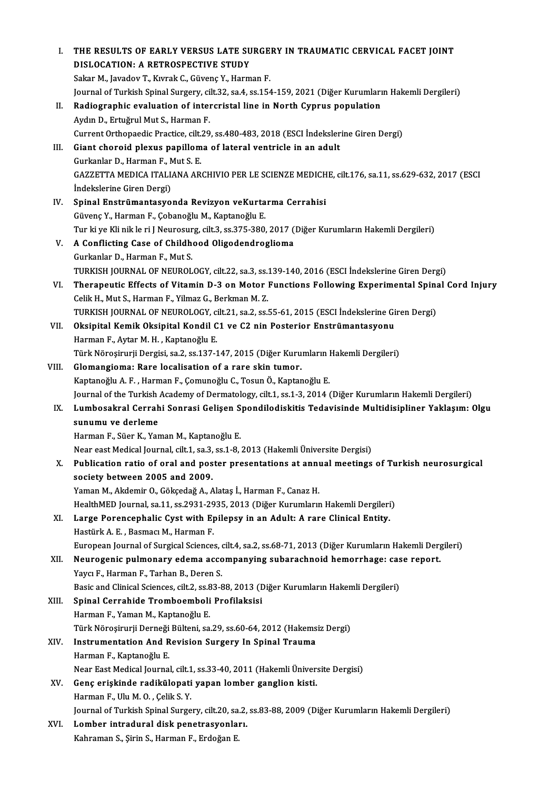| Ι.    | THE RESULTS OF EARLY VERSUS LATE SURGERY IN TRAUMATIC CERVICAL FACET JOINT<br>DISLOCATION: A RETROSPECTIVE STUDY                 |
|-------|----------------------------------------------------------------------------------------------------------------------------------|
|       | Sakar M., Javadov T., Kıvrak C., Güvenç Y., Harman F.                                                                            |
|       | Journal of Turkish Spinal Surgery, cilt.32, sa.4, ss.154-159, 2021 (Diğer Kurumların Hakemli Dergileri)                          |
| Н.    | Radiographic evaluation of intercristal line in North Cyprus population                                                          |
|       | Aydın D., Ertuğrul Mut S., Harman F.                                                                                             |
|       | Current Orthopaedic Practice, cilt.29, ss.480-483, 2018 (ESCI Indekslerine Giren Dergi)                                          |
| III.  | Giant choroid plexus papilloma of lateral ventricle in an adult                                                                  |
|       | Gurkanlar D., Harman F., Mut S. E.                                                                                               |
|       | GAZZETTA MEDICA ITALIANA ARCHIVIO PER LE SCIENZE MEDICHE, cilt.176, sa.11, ss.629-632, 2017 (ESCI                                |
|       | İndekslerine Giren Dergi)                                                                                                        |
| IV.   | Spinal Enstrümantasyonda Revizyon veKurtarma Cerrahisi                                                                           |
|       | Güvenç Y., Harman F., Çobanoğlu M., Kaptanoğlu E.                                                                                |
|       | Tur ki ye Kli nik le ri J Neurosurg, cilt.3, ss.375-380, 2017 (Diğer Kurumların Hakemli Dergileri)                               |
| V.    | A Conflicting Case of Childhood Oligodendroglioma                                                                                |
|       | Gurkanlar D., Harman F., Mut S.                                                                                                  |
|       | TURKISH JOURNAL OF NEUROLOGY, cilt.22, sa.3, ss.139-140, 2016 (ESCI İndekslerine Giren Dergi)                                    |
| VI.   | Therapeutic Effects of Vitamin D-3 on Motor Functions Following Experimental Spinal Cord Injury                                  |
|       | Celik H., Mut S., Harman F., Yilmaz G., Berkman M.Z.                                                                             |
|       | TURKISH JOURNAL OF NEUROLOGY, cilt.21, sa.2, ss.55-61, 2015 (ESCI Indekslerine Giren Dergi)                                      |
| VII.  | Oksipital Kemik Oksipital Kondil C1 ve C2 nin Posterior Enstrümantasyonu                                                         |
|       | Harman F., Aytar M. H., Kaptanoğlu E.                                                                                            |
|       | Türk Nöroşirurji Dergisi, sa.2, ss.137-147, 2015 (Diğer Kurumların Hakemli Dergileri)                                            |
| VIII. | Glomangioma: Rare localisation of a rare skin tumor.                                                                             |
|       | Kaptanoğlu A.F., Harman F., Çomunoğlu C., Tosun Ö., Kaptanoğlu E.                                                                |
|       | Journal of the Turkish Academy of Dermatology, cilt.1, ss.1-3, 2014 (Diğer Kurumların Hakemli Dergileri)                         |
| IX.   | Lumbosakral Cerrahi Sonrasi Gelişen Spondilodiskitis Tedavisinde Multidisipliner Yaklaşım: Olgu                                  |
|       | sunumu ve derleme                                                                                                                |
|       | Harman F., Süer K., Yaman M., Kaptanoğlu E.                                                                                      |
|       | Near east Medical Journal, cilt.1, sa.3, ss.1-8, 2013 (Hakemli Üniversite Dergisi)                                               |
| Х.    | Publication ratio of oral and poster presentations at annual meetings of Turkish neurosurgical<br>society between 2005 and 2009. |
|       | Yaman M., Akdemir O., Gökçedağ A., Alataş İ., Harman F., Canaz H.                                                                |
|       | HealthMED Journal, sa.11, ss.2931-2935, 2013 (Diğer Kurumların Hakemli Dergileri)                                                |
| XI.   | Large Porencephalic Cyst with Epilepsy in an Adult: A rare Clinical Entity.                                                      |
|       | Hastürk A. E., Basmacı M., Harman F.                                                                                             |
|       | European Journal of Surgical Sciences, cilt.4, sa.2, ss.68-71, 2013 (Diğer Kurumların Hakemli Dergileri)                         |
| XII.  | Neurogenic pulmonary edema accompanying subarachnoid hemorrhage: case report.                                                    |
|       | Yaycı F., Harman F., Tarhan B., Deren S.                                                                                         |
|       | Basic and Clinical Sciences, cilt.2, ss.83-88, 2013 (Diğer Kurumların Hakemli Dergileri)                                         |
| XIII. | Spinal Cerrahide Tromboemboli Profilaksisi                                                                                       |
|       | Harman F, Yaman M, Kaptanoğlu E.                                                                                                 |
|       | Türk Nöroşirurji Derneği Bülteni, sa.29, ss.60-64, 2012 (Hakemsiz Dergi)                                                         |
| XIV.  | Instrumentation And Revision Surgery In Spinal Trauma                                                                            |
|       | Harman F., Kaptanoğlu E.                                                                                                         |
|       | Near East Medical Journal, cilt.1, ss.33-40, 2011 (Hakemli Üniversite Dergisi)                                                   |
| XV.   | Genç erişkinde radikülopati yapan lomber ganglion kisti.                                                                         |
|       | Harman F., Ulu M.O., Çelik S.Y.                                                                                                  |
|       | Journal of Turkish Spinal Surgery, cilt.20, sa.2, ss.83-88, 2009 (Diğer Kurumların Hakemli Dergileri)                            |
| XVI.  | Lomber intradural disk penetrasyonları.                                                                                          |
|       | Kahraman S., Şirin S., Harman F., Erdoğan E.                                                                                     |
|       |                                                                                                                                  |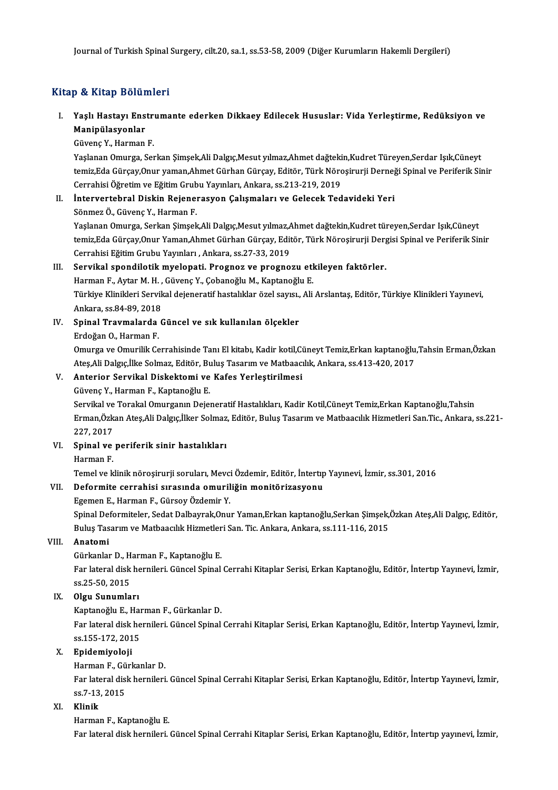### Kitap & Kitap Bölümleri

itap & Kitap Bölümleri<br>I. Yaşlı Hastayı Enstrumante ederken Dikkaey Edilecek Hususlar: Vida Yerleştirme, Redüksiyon ve<br>Maninülasyonlar p & III ap Dora.<br>Yaşlı Hastayı Ens<br>Manipülasyonlar Yaşlı Hastayı Enstr<br>Manipülasyonlar<br>Güvenç Y., Harman F.<br>Yaslanan Omurga, Sar

M<mark>anipülasyonlar</mark><br>Güvenç Y., Harman F.<br>Yaşlanan Omurga, Serkan Şimşek,Ali Dalgıç,Mesut yılmaz,Ahmet dağtekin,Kudret Türeyen,Serdar Işık,Cüneyt<br>temir Eda Gürsey Opur yaman Ahmet Gürban Gürsey, Editör, Türk Nöresinyrii Derne Güvenç Y., Harman F.<br>Yaşlanan Omurga, Serkan Şimşek,Ali Dalgıç,Mesut yılmaz,Ahmet dağtekin,Kudret Türeyen,Serdar Işık,Cüneyt<br>temiz,Eda Gürçay,Onur yaman,Ahmet Gürhan Gürçay, Editör, Türk Nöroşirurji Derneği Spinal ve Perif Yaşlanan Omurga, Serkan Şimşek,Ali Dalgıç,Mesut yılmaz,Ahmet dağteki<br>temiz,Eda Gürçay,Onur yaman,Ahmet Gürhan Gürçay, Editör, Türk Nörc<br>Cerrahisi Öğretim ve Eğitim Grubu Yayınları, Ankara, ss.213-219, 2019<br>İnterventehnel D temiz,Eda Gürçay,Onur yaman,Ahmet Gürhan Gürçay, Editör, Türk Nöroşirurji Derneğ<br>Cerrahisi Öğretim ve Eğitim Grubu Yayınları, Ankara, ss.213-219, 2019<br>II. İntervertebral Diskin Rejenerasyon Çalışmaları ve Gelecek Tedavidek

Cerrahisi Öğretim ve Eğitim Grub<br>**İntervertebral Diskin Rejene**<br>Sönmez Ö., Güvenç Y., Harman F.<br>Yeslanan Omunga, Sarkan Simesli

İntervertebral Diskin Rejenerasyon Çalışmaları ve Gelecek Tedavideki Yeri<br>Sönmez Ö., Güvenç Y., Harman F.<br>Yaşlanan Omurga, Serkan Şimşek,Ali Dalgıç,Mesut yılmaz,Ahmet dağtekin,Kudret türeyen,Serdar Işık,Cüneyt<br>temir Ede Gü Sönmez Ö., Güvenç Y., Harman F.<br>Yaşlanan Omurga, Serkan Şimşek,Ali Dalgıç,Mesut yılmaz,Ahmet dağtekin,Kudret türeyen,Serdar Işık,Cüneyt<br>temiz,Eda Gürçay,Onur Yaman,Ahmet Gürhan Gürçay, Editör, Türk Nöroşirurji Dergisi Spin Yaşlanan Omurga, Serkan Şimşek,Ali Dalgıç,Mesut yılmaz,A<br>temiz,Eda Gürçay,Onur Yaman,Ahmet Gürhan Gürçay, Edit<br>Cerrahisi Eğitim Grubu Yayınları , Ankara, ss.27-33, 2019<br>Servikal apendiletik mualenati, Presnes ve presnes

### III. Servikal spondilotik myelopati. Prognoz ve prognozu etkileyen faktörler.

Cerrahisi Eğitim Grubu Yayınları , Ankara, ss.27-33, 2019<br>Servikal spondilotik myelopati. Prognoz ve prognozu etl<br>Harman F., Aytar M. H. , Güvenç Y., Çobanoğlu M., Kaptanoğlu E.<br>Türkiye Klinikleri Servikal dejaneretif bast Türkiye Klinikleri Servikal dejeneratif hastalıklar özel sayısı., Ali Arslantaş, Editör, Türkiye Klinikleri Yayınevi, Harman F., Aytar M. H. ,<br>Türkiye Klinikleri Servik<br>Ankara, ss.84-89, 2018<br>Sninal Traumalanda ( Ankara, ss.84-89, 2018

IV. Spinal Travmalarda Güncel ve sık kullanılan ölçekler<br>Erdoğan O., Harman F.

Spinal Travmalarda Güncel ve sık kullanılan ölçekler<br>Erdoğan O., Harman F.<br>Omurga ve Omurilik Cerrahisinde Tanı El kitabı, Kadir kotil,Cüneyt Temiz,Erkan kaptanoğlu,Tahsin Erman,Özkan<br>Ates Ali Dalgıs İlka Salmaz, Editör, P Erdoğan O., Harman F.<br>Omurga ve Omurilik Cerrahisinde Tanı El kitabı, Kadir kotil,Cüneyt Temiz,Erkan kaptanoğlu<br>Ateş,Ali Dalgıç,İlke Solmaz, Editör, Buluş Tasarım ve Matbaacılık, Ankara, ss.413-420, 2017<br>Anteriar Servikal Omurga ve Omurilik Cerrahisinde Tanı El kitabı, Kadir kotil,Ci<br>Ateş,Ali Dalgıç,İlke Solmaz, Editör, Buluş Tasarım ve Matbaacı<br>V. Anterior Servikal Diskektomi ve Kafes Yerleştirilmesi<br>Güyane V. Harman E. Kaptaneğlu E Ateş,Ali Dalgıç,İlke Solmaz, Editör, Buluş Tasarım ve Matbaacılık, Ankara, ss.413-420, 2017<br>V. Anterior Servikal Diskektomi ve Kafes Yerleştirilmesi<br>Güvenç Y., Harman F., Kaptanoğlu E.

Anterior Servikal Diskektomi ve Kafes Yerleştirilmesi<br>Güvenç Y., Harman F., Kaptanoğlu E.<br>Servikal ve Torakal Omurganın Dejeneratif Hastalıkları, Kadir Kotil,Cüneyt Temiz,Erkan Kaptanoğlu,Tahsin<br>Erman Öskan Atas Ali Delgu Güvenç Y., Harman F., Kaptanoğlu E.<br>Servikal ve Torakal Omurganın Dejeneratif Hastalıkları, Kadir Kotil,Cüneyt Temiz,Erkan Kaptanoğlu,Tahsin<br>Erman,Özkan Ateş,Ali Dalgıç,İlker Solmaz, Editör, Buluş Tasarım ve Matbaacılık Hi Servikal ve<br>Erman,Özk<br>227, 2017<br>Sninal ve Erman,Özkan Ateş,Ali Dalgıç,İlker Solmaz<br>227, 2017<br>VI. Spinal ve periferik sinir hastalıkları<br>Harman E 227, 2017<br>Spinal ve<br>Harman F.<br>Tomol ve k

Spinal ve periferik sinir hastalıkları<br>Harman F.<br>Temel ve klinik nöroşirurji soruları, Mevci Özdemir, Editör, İntertıp Yayınevi, İzmir, ss.301, 2016<br>Deformite serrebisi suresında emuriliğin menitöriresyeny

# Harman F.<br>Temel ve klinik nöroşirurji soruları, Mevci Özdemir, Editör, İntertıp<br>VII. Deformite cerrahisi sırasında omuriliğin monitörizasyonu<br>Fasman E. Harman E. Gürsey Ördemin V. Temel ve klinik nöroşirurji soruları, Mevci<br>Deformite cerrahisi sırasında omuril<br>Egemen E., Harman F., Gürsoy Özdemir Y.<br>Sninal Deformitelen Sedet Delbeurek Onu

Deformite cerrahisi sırasında omuriliğin monitörizasyonu<br>Egemen E., Harman F., Gürsoy Özdemir Y.<br>Spinal Deformiteler, Sedat Dalbayrak,Onur Yaman,Erkan kaptanoğlu,Serkan Şimşek,Özkan Ateş,Ali Dalgıç, Editör, Egemen E., Harman F., Gürsoy Özdemir Y.<br>Spinal Deformiteler, Sedat Dalbayrak,Onur Yaman,Erkan kaptanoğlu,Serkan Şimşek,<br>Buluş Tasarım ve Matbaacılık Hizmetleri San. Tic. Ankara, Ankara, ss.111-116, 2015<br>Anatomi Buluş Tasarım ve Matbaacılık Hizmetleri San. Tic. Ankara, Ankara, ss.111-116, 2015

VIII. Anatomi<br>Gürkanlar D., Harman F., Kaptanoğlu E.

Anatomi<br>Gürkanlar D., Harman F., Kaptanoğlu E.<br>Far lateral disk hernileri. Güncel Spinal Cerrahi Kitaplar Serisi, Erkan Kaptanoğlu, Editör, İntertıp Yayınevi, İzmir, Gürkanlar D., H<br>Far lateral disk<br>ss.25-50, 2015<br>Olau Sunumla ss.25-50, 2015<br><mark>Olgu Sunumları</mark><br>Kaptanoğlu E., Harman F., Gürkanlar D.<br>Fer latenal disk bernileri, Günsel Spinal

## ss.25-50, 2015<br>IX. Olgu Sunumları

Far lateral disk hernileri. Güncel Spinal Cerrahi Kitaplar Serisi, Erkan Kaptanoğlu, Editör, İntertıp Yayınevi, İzmir,<br>ss.155-172. 2015 Kaptanoğlu E., Hai<br>Far lateral disk he<br>ss.155-172, 2015<br>Enidemiyeleji ss.155-172, 2015<br><mark>Epidemiyoloji</mark><br>Harman F., Gürkanlar D.<br>Fer lateral diek bernileri

### X. Epidemiyoloji

Far lateral disk hernileri. Güncel Spinal Cerrahi Kitaplar Serisi, Erkan Kaptanoğlu, Editör, İntertıp Yayınevi, İzmir,<br>ss.7-13. 2015 Harman F., Gü<br>Far lateral dis<br>ss.7-13, 2015<br>Klinik

### XI. Klinik

### Harman F., Kaptanoğlu E.

Far lateral disk hernileri. Güncel Spinal Cerrahi Kitaplar Serisi, Erkan Kaptanoğlu, Editör, İntertıp yayınevi, İzmir,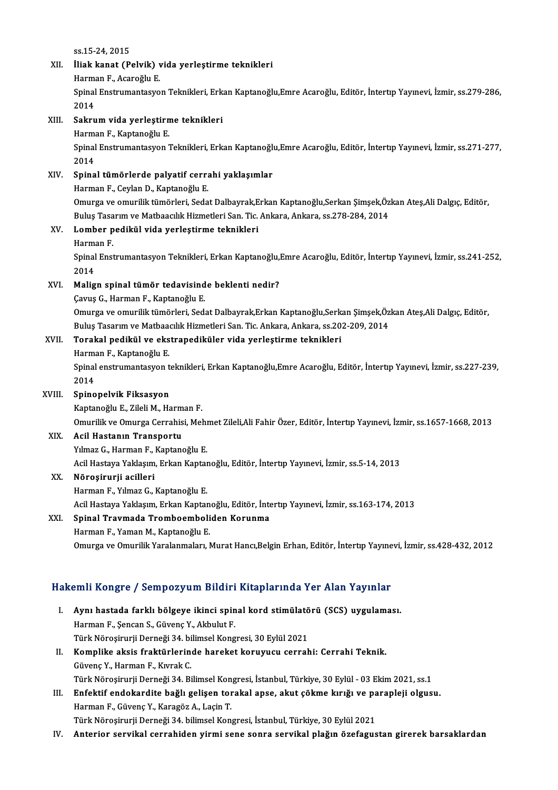ss.15-24,2015

# ss.15-24, 2015<br>XII. İliak kanat (Pelvik) vida yerleştirme teknikleri<br>Hanman E. Asarağlu E ss.15-24, 2015<br>İli<mark>ak kanat (Pelvik) v</mark><br>Harman F., Acaroğlu E.<br>Sninel Enstrumentesus

İliak kanat (Pelvik) vida yerleştirme teknikleri<br>Harman F., Acaroğlu E.<br>Spinal Enstrumantasyon Teknikleri, Erkan Kaptanoğlu,Emre Acaroğlu, Editör, İntertıp Yayınevi, İzmir, ss.279-286, Harma<br>Spinal<br>2014<br>Sakru

## 2014<br>XIII. Sakrum vida yerleştirme teknikleri 2014<br><mark>Sakrum vida yerleştirn</mark><br>Harman F., Kaptanoğlu E.<br>Sninal Enstrumantasyon <sup>5</sup>

Spinal Enstrumantasyon Teknikleri, Erkan Kaptanoğlu,Emre Acaroğlu, Editör, İntertıp Yayınevi, İzmir, ss.271-277,<br>2014 Harma<br>Spinal<br>2014<br>Spina Spinal Enstrumantasyon Teknikleri, Erkan Kaptanoğlu<br>2014<br>XIV. Spinal tümörlerde palyatif cerrahi yaklaşımlar<br>Harman E. Caylan D. Kaptanoğlu E.

# 2014<br><mark>Spinal tümörlerde palyatif cerr</mark>a<br>Harman F., Ceylan D., Kaptanoğlu E.<br>Omurga ve emurilik tümörleri Sede

S<mark>pinal tümörlerde palyatif cerrahi yaklaşımlar</mark><br>Harman F., Ceylan D., Kaptanoğlu E.<br>Omurga ve omurilik tümörleri, Sedat Dalbayrak,Erkan Kaptanoğlu,Serkan Şimşek,Özkan Ateş,Ali Dalgıç, Editör,<br>Pulus Tasarım ve Mathaasılık Harman F., Ceylan D., Kaptanoğlu E.<br>Omurga ve omurilik tümörleri, Sedat Dalbayrak,Erkan Kaptanoğlu,Serkan Şimşek,Öz<br>Buluş Tasarım ve Matbaacılık Hizmetleri San. Tic. Ankara, Ankara, ss.278-284, 2014<br>Lambar padiltül yide ye Omurga ve omurilik tümörleri, Sedat Dalbayrak,E<br>Buluş Tasarım ve Matbaacılık Hizmetleri San. Tic.<br>XV. Lomber pedikül vida yerleştirme teknikleri<br>Harman E Buluş Tasa<br>Lomber p<br>Harman F.<br>Sninal Engl

Lomber pedikül vida yerleştirme teknikleri<br>Harman F.<br>Spinal Enstrumantasyon Teknikleri, Erkan Kaptanoğlu,Emre Acaroğlu, Editör, İntertıp Yayınevi, İzmir, ss.241-252, Harma<br>Spinal<br>2014<br>Melig

## XVI. Malign spinal tümör tedavisinde beklenti nedir?

Çavuş G., Harman F., Kaptanoğlu E.

Malign spinal tümör tedavisinde beklenti nedir?<br>Çavuş G., Harman F., Kaptanoğlu E.<br>Omurga ve omurilik tümörleri, Sedat Dalbayrak,Erkan Kaptanoğlu,Serkan Şimşek,Özkan Ateş,Ali Dalgıç, Editör,<br>Pulus Tesarım ve Mathassılık Hi Çavuş G., Harman F., Kaptanoğlu E.<br>Omurga ve omurilik tümörleri, Sedat Dalbayrak,Erkan Kaptanoğlu,Serkan Şimşek,Öz<br>Buluş Tasarım ve Matbaacılık Hizmetleri San. Tic. Ankara, Ankara, ss.202-209, 2014<br>Terakal podikül ve ekstr Omurga ve omurilik tümörleri, Sedat Dalbayrak,Erkan Kaptanoğlu,Serk<br>Buluş Tasarım ve Matbaacılık Hizmetleri San. Tic. Ankara, Ankara, ss.20<br>XVII. Torakal pedikül ve ekstrapediküler vida yerleştirme teknikleri<br>Harman E.

# Buluş Tasarım ve Matbaacılık Hizmetleri San. Tic. Ankara, Ankara, ss.202-209, 2014<br>Torakal pedikül ve ekstrapediküler vida yerleştirme teknikleri<br>Harman F., Kaptanoğlu E.

Torakal pedikül ve ekstrapediküler vida yerleştirme teknikleri<br>Harman F., Kaptanoğlu E.<br>Spinal enstrumantasyon teknikleri, Erkan Kaptanoğlu,Emre Acaroğlu, Editör, İntertıp Yayınevi, İzmir, ss.227-239,<br>2014 Harma<br>Spinal<br>2014<br>Spine

## 2014<br>XVIII. Spinopelvik Fiksasyon

KaptanoğluE.,ZileliM.,HarmanF.

Omurilik ve Omurga Cerrahisi, Mehmet Zileli,Ali Fahir Özer, Editör, İntertıp Yayınevi, İzmir, ss.1657-1668, 2013

### XIX. Acil Hastanın Transportu

Yılmaz G., Harman F., Kaptanoğlu E.

AcilHastayaYaklaşım,ErkanKaptanoğlu,Editör, İntertıpYayınevi, İzmir, ss.5-14,2013

### XX. Nöroşirurji acilleri

Harman F., Yılmaz G., Kaptanoğlu E. AcilHastayaYaklaşım,ErkanKaptanoğlu,Editör, İntertıpYayınevi, İzmir, ss.163-174,2013 Harman F., Yılmaz G., Kaptanoğlu E.<br>Acil Hastaya Yaklaşım, Erkan Kaptanoğlu, Editör, İnte<br>XXI. Spinal Travmada Tromboemboliden Korunma<br>Harman E. Yaman M. Kaptanoğlu E.

Acil Hastaya Yaklaşım, Erkan Kaptan<br>Spinal <mark>Travmada Tromboemboli</mark><br>Harman F., Yaman M., Kaptanoğlu E.<br>Omurga ve Omurilik Yaralanmaları A Harman F., Yaman M., Kaptanoğlu E.<br>Omurga ve Omurilik Yaralanmaları, Murat Hancı,Belgin Erhan, Editör, İntertıp Yayınevi, İzmir, ss.428-432, 2012

## Hakemli Kongre / Sempozyum Bildiri Kitaplarında Yer Alan Yayınlar

- akemli Kongre / Sempozyum Bildiri Kitaplarında Yer Alan Yayınlar<br>I. Aynı hastada farklı bölgeye ikinci spinal kord stimülatörü (SCS) uygulaması.<br>Harman E. Sansan S. Güyane Y. Althulut E. Harman F., Şencan S., Gürp var, Braham<br>Harman F., Şencan S., Güvenç Y., Akbulut F.<br>Türk Nörosirurii Derneği 24, bilimsel Kong Aynı hastada farklı bölgeye ikinci spinal kord stimülatö<br>Harman F., Şencan S., Güvenç Y., Akbulut F.<br>Türk Nöroşirurji Derneği 34. bilimsel Kongresi, 30 Eylül 2021<br>Komnlike eksis frektürlerinde bareket konuyusu serrek Harman F., Şencan S., Güvenç Y., Akbulut F.<br>Türk Nöroşirurji Derneği 34. bilimsel Kongresi, 30 Eylül 2021<br>II. Komplike aksis fraktürlerinde hareket koruyucu cerrahi: Cerrahi Teknik.<br>Güyane Y. Harman E. Kurek G.
- Türk Nöroşirurji Derneği 34. bi<br><mark>Komplike aksis fraktürlerin</mark><br>Güvenç Y., Harman F., Kıvrak C.<br>Türk Nörosinurji Derneği 34. Bi Komplike aksis fraktürlerinde hareket koruyucu cerrahi: Cerrahi Teknik.<br>Güvenç Y., Harman F., Kıvrak C.<br>Türk Nöroşirurji Derneği 34. Bilimsel Kongresi, İstanbul, Türkiye, 30 Eylül - 03 Ekim 2021, ss.1<br>Enfektif endekandite Güvenç Y., Harman F., Kıvrak C.<br>Türk Nöroşirurji Derneği 34. Bilimsel Kongresi, İstanbul, Türkiye, 30 Eylül - 03 Ekim 2021, ss.1<br>III. Enfektif endokardite bağlı gelişen torakal apse, akut çökme kırığı ve parapleji olgusu.<br>
- Türk Nöroşirurji Derneği 34. Bilimsel Kon<br><mark>Enfektif endokardite bağlı gelişen tor</mark><br>Harman F., Güvenç Y., Karagöz A., Laçin T.<br>Türk Nörosinurji Derneği 34. bilimsel Kon Enfektif endokardite bağlı gelişen torakal apse, akut çökme kırığı ve pa<br>Harman F., Güvenç Y., Karagöz A., Laçin T.<br>Türk Nöroşirurji Derneği 34. bilimsel Kongresi, İstanbul, Türkiye, 30 Eylül 2021<br>Antarian sarvikal sarrabi Harman F., Güvenç Y., Karagöz A., Laçin T.<br>Türk Nöroşirurji Derneği 34. bilimsel Kongresi, İstanbul, Türkiye, 30 Eylül 2021<br>IV. Anterior servikal cerrahiden yirmi sene sonra servikal plağın özefagustan girerek barsakla
-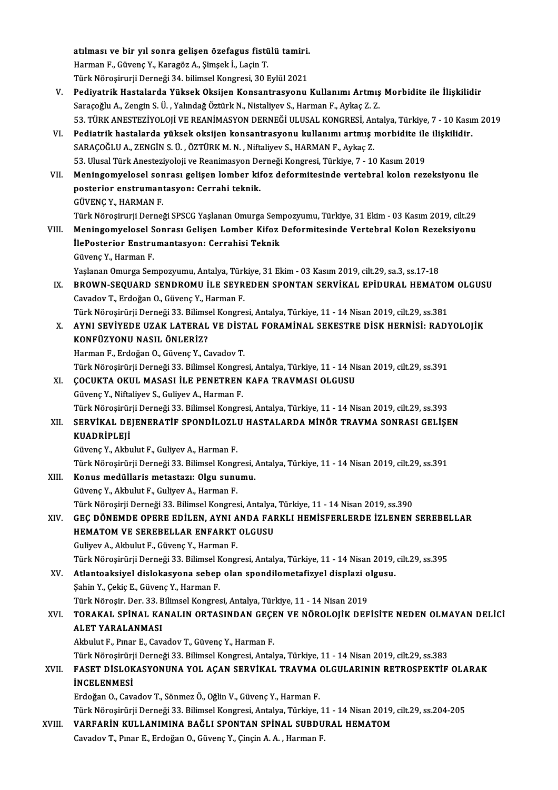atılması ve bir yıl sonra gelişen özefagus fistülü tamiri.<br>Harman E. Güyane V. Karagör A. Simaak İ. Lasin T. atılması ve bir yıl sonra gelişen özefagus fistü<br>Harman F., Güvenç Y., Karagöz A., Şimşek İ., Laçin T.<br>Türk Nönesinunii Denneği 34 bilimsel Kongresi 30 L <mark>atılması ve bir yıl sonra gelişen özefagus fistülü tamiri.</mark><br>Harman F., Güvenç Y., Karagöz A., Şimşek İ., Laçin T.<br>Türk Nöroşirurji Derneği 34. bilimsel Kongresi, 30 Eylül 2021<br>Pediyatrik Hastalarda Vülsek Oksijan Kongantr

- Harman F., Güvenç Y., Karagöz A., Şimşek İ., Laçin T.<br>Türk Nöroşirurji Derneği 34. bilimsel Kongresi, 30 Eylül 2021<br>V. Pediyatrik Hastalarda Yüksek Oksijen Konsantrasyonu Kullanımı Artmış Morbidite ile İlişkilidir<br>Sara Türk Nöroşirurji Derneği 34. bilimsel Kongresi, 30 Eylül 2021<br><mark>Pediyatrik Hastalarda Yüksek Oksijen Konsantrasyonu Kullanımı Artmış</mark><br>Saraçoğlu A., Zengin S. Ü. , Yalındağ Öztürk N., Nistaliyev S., Harman F., Aykaç Z. Z.<br>52 Saraçoğlu A., Zengin S. Ü. , Yalındağ Öztürk N., Nistaliyev S., Harman F., Aykaç Z. Z.<br>53. TÜRK ANESTEZİYOLOJİ VE REANİMASYON DERNEĞİ ULUSAL KONGRESİ, Antalya, Türkiye, 7 - 10 Kasım 2019 Saraçoğlu A., Zengin S. Ü. , Yalındağ Öztürk N., Nistaliyev S., Harman F., Aykaç Z. Z.<br>53. TÜRK ANESTEZİYOLOJİ VE REANİMASYON DERNEĞİ ULUSAL KONGRESİ, Antalya, Türkiye, 7 - 10 Kası<br>VI. Pediatrik hastalarda yüksek oksij
- 53. TÜRK ANESTEZİYOLOJİ VE REANİMASYON DERNEĞİ ULUSAL KONGRESİ, An<br>Pediatrik hastalarda yüksek oksijen konsantrasyonu kullanımı artmış ı<br>SARAÇOĞLU A., ZENGİN S. Ü. , ÖZTÜRK M. N. , Niftaliyev S., HARMAN F., Aykaç Z.<br>52. Ul Pediatrik hastalarda yüksek oksijen konsantrasyonu kullanımı artmış morbidite ile<br>SARAÇOĞLU A., ZENGİN S. Ü. , ÖZTÜRK M. N. , Niftaliyev S., HARMAN F., Aykaç Z.<br>53. Ulusal Türk Anesteziyoloji ve Reanimasyon Derneği Kongres SARAÇOĞLU A., ZENGİN S. Ü. , ÖZTÜRK M. N. , Niftaliyev S., HARMAN F., Aykaç Z.<br>53. Ulusal Türk Anesteziyoloji ve Reanimasyon Derneği Kongresi, Türkiye, 7 - 10 Kasım 2019<br>VII. Meningomyelosel sonrası gelişen lomber kifoz de
- 53. Ulusal Türk Anesteziyoloji ve Reanimasyon De<br>Meningomyelosel sonrası gelişen lomber kil<br>posterior enstrumantasyon: Cerrahi teknik.<br>CÜVENC V. HAPMAN E Meningomyelosel son<br>posterior enstrumant<br>GÜVENÇ Y., HARMAN F.<br>Türk Nänesinurii Dernei posterior enstrumantasyon: Cerrahi teknik.<br>GÜVENÇ Y., HARMAN F.<br>Türk Nöroşirurji Derneği SPSCG Yaşlanan Omurga Sempozyumu, Türkiye, 31 Ekim - 03 Kasım 2019, cilt.29
- GÜVENÇ Y., HARMAN F.<br>Türk Nöroşirurji Derneği SPSCG Yaşlanan Omurga Sempozyumu, Türkiye, 31 Ekim 03 Kasım 2019, cilt.29<br>VIII. Meningomyelosel Sonrası Gelişen Lomber Kifoz Deformitesinde Vertebral Kolon Rezeksiyonu<br>İlaBos Türk Nöroşirurji Derneği SPSCG Yaşlanan Omurga Sem<br>Meningomyelosel Sonrası Gelişen Lomber Kifoz<br>İlePosterior Enstrumantasyon: Cerrahisi Teknik<br>Güyene V. Harman E Meningomyelosel S<br>İlePosterior Enstru<br>Güvenç Y., Harman F.<br>Yeslanan Omunga San İlePosterior Enstrumantasyon: Cerrahisi Teknik<br>Güvenç Y., Harman F.<br>Yaşlanan Omurga Sempozyumu, Antalya, Türkiye, 31 Ekim - 03 Kasım 2019, cilt.29, sa.3, ss.17-18

IX. BROWN-SEQUARD SENDROMU İLE SEYREDEN SPONTAN SERVİKAL EPİDURAL HEMATOMOLGUSU Cavadov T., Erdoğan O., Güvenç Y., Harman F. BROWN-SEQUARD SENDROMU İLE SEYREDEN SPONTAN SERVİKAL EPİDURAL HEMATON<br>Cavadov T., Erdoğan O., Güvenç Y., Harman F.<br>Türk Nöroşirürji Derneği 33. Bilimsel Kongresi, Antalya, Türkiye, 11 - 14 Nisan 2019, cilt.29, ss.381<br>AVNI

Cavadov T., Erdoğan O., Güvenç Y., Harman F.<br>Türk Nöroşirürji Derneği 33. Bilimsel Kongresi, Antalya, Türkiye, 11 - 14 Nisan 2019, cilt.29, ss.381<br>X. AYNI SEVİYEDE UZAK LATERAL VE DİSTAL FORAMİNAL SEKESTRE DİSK HERNİSİ Türk Nöroşirürji Derneği 33. Bilims<br>AYNI SEVİYEDE UZAK LATERAL<br>KONFÜZYONU NASIL ÖNLERİZ?<br>Harman E. Erdeğan O. Güyene V. G AYNI S<mark>EVİYEDE UZAK LATERAL VE DİST<br>KONFÜZYONU NASIL ÖNLERİZ?<br>Harman F., Erdoğan O., Güvenç Y., Cavadov T.<br>Türk Nörocirürü Dorneği 33. Bilimçel Kongre</mark> KONFÜZYONU NASIL ÖNLERİZ?<br>Harman F., Erdoğan O., Güvenç Y., Cavadov T.<br>Türk Nöroşirürji Derneği 33. Bilimsel Kongresi, Antalya, Türkiye, 11 - 14 Nisan 2019, cilt.29, ss.391<br>COCUKTA OKUL MASASI İJ E PENETPEN KAFA TRAVMASI O

Harman F., Erdoğan O., Güvenç Y., Cavadov T.<br>Türk Nöroşirürji Derneği 33. Bilimsel Kongresi, Antalya, Türkiye, 11 - 14 Ni<br>XI. COCUKTA OKUL MASASI İLE PENETREN KAFA TRAVMASI OLGUSU Türk Nöroşirürji Derneği 33. Bilimsel Kongre<br>**ÇOCUKTA OKUL MASASI İLE PENETREN**<br>Güvenç Y., Niftaliyev S., Guliyev A., Harman F.<br>Türk Nörosirürü Derneği 33. Bilimsel Kongre XI. COCUKTA OKUL MASASI İLE PENETREN KAFA TRAVMASI OLGUSU<br>Güvenç Y., Niftaliyev S., Guliyev A., Harman F.<br>Türk Nöroşirürji Derneği 33. Bilimsel Kongresi, Antalya, Türkiye, 11 - 14 Nisan 2019, cilt.29, ss.393

### XII. SERVİKAL DEJENERATİF SPONDİLOZLU HASTALARDA MİNÖR TRAVMA SONRASI GELİŞEN KUADRİPLEJİ

GüvençY.,AkbulutF.,GuliyevA.,HarmanF.

Türk Nöroşirürji Derneği 33. Bilimsel Kongresi, Antalya, Türkiye, 11 - 14 Nisan 2019, cilt.29, ss.391

- Güvenç Y., Akbulut F., Guliyev A., Harman F.<br>Türk Nöroşirürji Derneği 33. Bilimsel Kongresi, .<br>XIII. Konus medüllaris metastazı: Olgu sunumu.<br>Güvene Y. Althulut E. Guliyev A. Harman E. Türk Nöroşirürji Derneği 33. Bilimsel Kongı<br><mark>Konus medüllaris metastazı: Olgu sun</mark>u<br>Güvenç Y., Akbulut F., Guliyev A., Harman F.<br>Türk Nörosirii Derneği 32. Bilimsel Kongres Güvenç Y., Akbulut F., Guliyev A., Harman F.<br>Türk Nöroşirji Derneği 33. Bilimsel Kongresi, Antalya, Türkiye, 11 - 14 Nisan 2019, ss.390 Güvenç Y., Akbulut F., Guliyev A., Harman F.<br>Türk Nöroşirji Derneği 33. Bilimsel Kongresi, Antalya, Türkiye, 11 - 14 Nisan 2019, ss.390<br>XIV. GEÇ DÖNEMDE OPERE EDİLEN, AYNI ANDA FARKLI HEMİSFERLERDE İZLENEN SEREBELLAR<br>
- Türk Nöroşirji Derneği 33. Bilimsel Kongresi, Antalya,<br>GEÇ DÖNEMDE OPERE EDİLEN, AYNI ANDA FAF<br>HEMATOM VE SEREBELLAR ENFARKT OLGUSU<br>Culiusu A. Altaulut E. Güyane V. Harman E. GEÇ DÖNEMDE OPERE EDİLEN, AYNI A<br>HEMATOM VE SEREBELLAR ENFARKT<br>Guliyev A., Akbulut F., Güvenç Y., Harman F.<br>Türk Nörosirürü Derneği 33 -Bilimsel Konsu HEMATOM VE SEREBELLAR ENFARKT OLGUSU<br>Guliyev A., Akbulut F., Güvenç Y., Harman F.<br>Türk Nöroşirürji Derneği 33. Bilimsel Kongresi, Antalya, Türkiye, 11 - 14 Nisan 2019, cilt.29, ss.395<br>Atlantaaksiyel dislakasyona saban alan

Guliyev A., Akbulut F., Güvenç Y., Harman F.<br>Türk Nöroşirürji Derneği 33. Bilimsel Kongresi, Antalya, Türkiye, 11 - 14 Nisan 2019,<br>XV. Atlantoaksiyel dislokasyona sebep olan spondilometafizyel displazi olgusu.<br>Sebin Y. Atlantoaksiyel dislokasyona sebep olan spondilometafizyel displazi o<br>Şahin Y., Çekiç E., Güvenç Y., Harman F.<br>Türk Nöroşir. Der. 33. Bilimsel Kongresi, Antalya, Türkiye, 11 - 14 Nisan 2019<br>TORAKAL SPİNAL KANALIN ORTASINDAN

Türk Nöroşirürji Derneği 33. Bilimsel K<br><mark>Atlantoaksiyel dislokasyona sebep</mark><br>Şahin Y., Çekiç E., Güvenç Y., Harman F.<br>Türk Nörosir, Der. <sup>22.</sup> Bilimsel Kongres

# Şahin Y., Çekiç E., Güvenç Y., Harman F.<br>Türk Nöroşir. Der. 33. Bilimsel Kongresi, Antalya, Türkiye, 11 - 14 Nisan 2019<br>XVI. TORAKAL SPİNAL KANALIN ORTASINDAN GEÇEN VE NÖROLOJİK DEFİSİTE NEDEN OLMAYAN DELİCİ Türk Nöroşir, Der. 33. B<br>TORAKAL SPİNAL KA<br>ALET YARALANMASI<br>Altaulut E. Bunar E. Cav TORAKAL SPİNAL KANALIN ORTASINDAN GEÇE<br>ALET YARALANMASI<br>Akbulut F., Pınar E., Cavadov T., Güvenç Y., Harman F.<br>Türk Nörocirürü Derneği 22. Bilimeel Kongresi, Antal

ALET YARALANMASI<br>Akbulut F., Pınar E., Cavadov T., Güvenç Y., Harman F.<br>Türk Nöroşirürji Derneği 33. Bilimsel Kongresi, Antalya, Türkiye, 11 - 14 Nisan 2019, cilt.29, ss.383

## XVII. FASET DİSLOKASYONUNA YOL AÇAN SERVİKAL TRAVMA OLGULARININ RETROSPEKTİF OLARAK İNCELENMESİ

Erdoğan O., Cavadov T., Sönmez Ö., Oğlin V., Güvenç Y., Harman F.

TürkNöroşirürjiDerneği33.BilimselKongresi,Antalya,Türkiye,11 -14Nisan2019, cilt.29, ss.204-205

XVIII. VARFARİN KULLANIMINA BAĞLI SPONTAN SPİNAL SUBDURAL HEMATOM Cavadov T., Pınar E., Erdoğan O., Güvenç Y., Çinçin A. A., Harman F.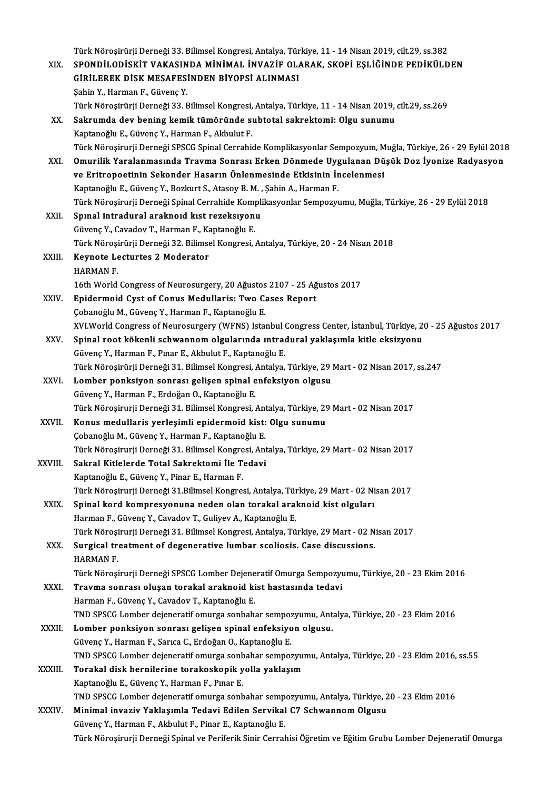|         | Türk Nöroşirürji Derneği 33. Bilimsel Kongresi, Antalya, Türkiye, 11 - 14 Nisan 2019, cilt.29, ss.382                              |
|---------|------------------------------------------------------------------------------------------------------------------------------------|
| XIX.    | SPONDİLODİSKİT VAKASINDA MİNİMAL İNVAZİF OLARAK, SKOPİ EŞLİĞİNDE PEDİKÜLDEN                                                        |
|         | GİRİLEREK DİSK MESAFESİNDEN BİYOPSİ ALINMASI                                                                                       |
|         | Şahin Y., Harman F., Güvenç Y.                                                                                                     |
|         | Türk Nöroşirürji Derneği 33. Bilimsel Kongresi, Antalya, Türkiye, 11 - 14 Nisan 2019, cilt.29, ss.269                              |
| XX.     | Sakrumda dev bening kemik tümöründe subtotal sakrektomi: Olgu sunumu                                                               |
|         | Kaptanoğlu E., Güvenç Y., Harman F., Akbulut F.                                                                                    |
|         | Türk Nöroşirurji Derneği SPSCG Spinal Cerrahide Komplikasyonlar Sempozyum, Muğla, Türkiye, 26 - 29 Eylül 2018                      |
| XXI.    | Omurilik Yaralanmasında Travma Sonrası Erken Dönmede Uygulanan Düşük Doz İyonize Radyasyon                                         |
|         | ve Eritropoetinin Sekonder Hasarın Önlenmesinde Etkisinin İncelenmesi                                                              |
|         | Kaptanoğlu E., Güvenç Y., Bozkurt S., Atasoy B. M., Şahin A., Harman F.                                                            |
|         | Türk Nöroşirurji Derneği Spinal Cerrahide Komplikasyonlar Sempozyumu, Muğla, Türkiye, 26 - 29 Eylül 2018                           |
| XXII.   | Spinal intradural araknoid kist rezeksiyonu                                                                                        |
|         | Güvenç Y., Cavadov T., Harman F., Kaptanoğlu E.                                                                                    |
|         | Türk Nöroşirürji Derneği 32. Bilimsel Kongresi, Antalya, Türkiye, 20 - 24 Nisan 2018                                               |
| XXIII.  | Keynote Lecturtes 2 Moderator                                                                                                      |
|         | <b>HARMAN F.</b>                                                                                                                   |
|         | 16th World Congress of Neurosurgery, 20 Ağustos 2107 - 25 Ağustos 2017                                                             |
| XXIV.   | Epidermoid Cyst of Conus Medullaris: Two Cases Report                                                                              |
|         | Çobanoğlu M., Güvenç Y., Harman F., Kaptanoğlu E.                                                                                  |
|         | XVI.World Congress of Neurosurgery (WFNS) Istanbul Congress Center, İstanbul, Türkiye, 20 - 25 Ağustos 2017                        |
| XXV.    | Spinal root kökenli schwannom olgularında ıntradural yaklaşımla kitle eksizyonu                                                    |
|         | Güvenç Y., Harman F., Pınar E., Akbulut F., Kaptanoğlu E.                                                                          |
|         | Türk Nöroşirürji Derneği 31. Bilimsel Kongresi, Antalya, Türkiye, 29 Mart - 02 Nisan 2017, ss.247                                  |
| XXVI.   | Lomber ponksiyon sonrası gelişen spinal enfeksiyon olgusu                                                                          |
|         | Güvenç Y., Harman F., Erdoğan O., Kaptanoğlu E.                                                                                    |
|         | Türk Nöroşirurji Derneği 31. Bilimsel Kongresi, Antalya, Türkiye, 29 Mart - 02 Nisan 2017                                          |
| XXVII.  | Konus medullaris yerleşimli epidermoid kist: Olgu sunumu                                                                           |
|         | Çobanoğlu M., Güvenç Y., Harman F., Kaptanoğlu E.                                                                                  |
|         | Türk Nöroşirurji Derneği 31. Bilimsel Kongresi, Antalya, Türkiye, 29 Mart - 02 Nisan 2017                                          |
| XXVIII. | Sakral Kitlelerde Total Sakrektomi İle Tedavi                                                                                      |
|         | Kaptanoğlu E., Güvenç Y., Pinar E., Harman F.                                                                                      |
|         | Türk Nöroşirurji Derneği 31.Bilimsel Kongresi, Antalya, Türkiye, 29 Mart - 02 Nisan 2017                                           |
| XXIX.   | Spinal kord kompresyonuna neden olan torakal araknoid kist olguları<br>Harman F., Güvenç Y., Cavadov T., Guliyev A., Kaptanoğlu E. |
|         | Türk Nöroşirurji Derneği 31. Bilimsel Kongresi, Antalya, Türkiye, 29 Mart - 02 Nisan 2017                                          |
| XXX.    | Surgical treatment of degenerative lumbar scoliosis. Case discussions.                                                             |
|         | <b>HARMAN F.</b>                                                                                                                   |
|         | Türk Nöroşirurji Derneği SPSCG Lomber Dejeneratif Omurga Sempozyumu, Türkiye, 20 - 23 Ekim 2016                                    |
| XXXI.   | Travma sonrası oluşan torakal araknoid kist hastasında tedavi                                                                      |
|         | Harman F., Güvenç Y., Cavadov T., Kaptanoğlu E.                                                                                    |
|         | TND SPSCG Lomber dejeneratif omurga sonbahar sempozyumu, Antalya, Türkiye, 20 - 23 Ekim 2016                                       |
| XXXII.  | Lomber ponksiyon sonrası gelişen spinal enfeksiyon olgusu.                                                                         |
|         | Güvenç Y., Harman F., Sarıca C., Erdoğan O., Kaptanoğlu E.                                                                         |
|         | TND SPSCG Lomber dejeneratif omurga sonbahar sempozyumu, Antalya, Türkiye, 20 - 23 Ekim 2016, ss.55                                |
| XXXIII. | Torakal disk hernilerine torakoskopik yolla yaklaşım                                                                               |
|         | Kaptanoğlu E., Güvenç Y., Harman F., Pınar E.                                                                                      |
|         | TND SPSCG Lomber dejeneratif omurga sonbahar sempozyumu, Antalya, Türkiye, 20 - 23 Ekim 2016                                       |
| XXXIV.  | Minimal invaziv Yaklaşımla Tedavi Edilen Servikal C7 Schwannom Olgusu                                                              |
|         | Güvenç Y., Harman F., Akbulut F., Pinar E., Kaptanoğlu E.                                                                          |
|         | Türk Nöroşirurji Derneği Spinal ve Periferik Sinir Cerrahisi Öğretim ve Eğitim Grubu Lomber Dejeneratif Omurga                     |
|         |                                                                                                                                    |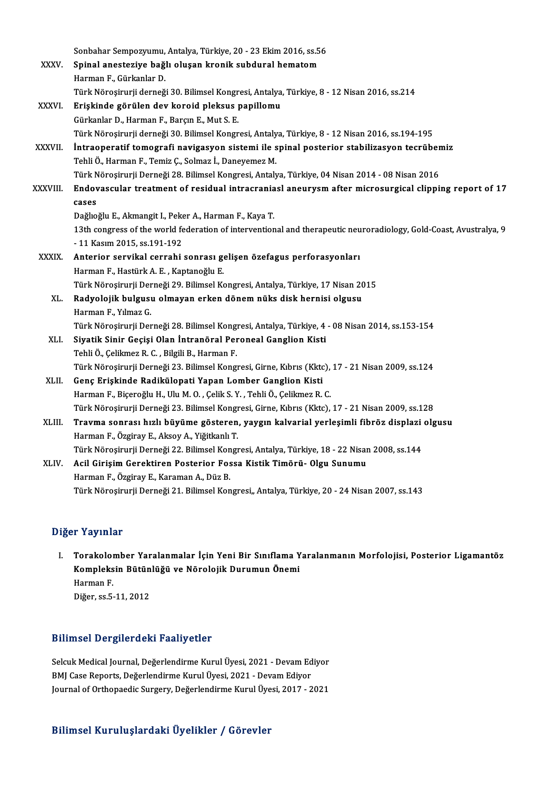|              | Sonbahar Sempozyumu, Antalya, Türkiye, 20 - 23 Ekim 2016, ss.56                                                   |
|--------------|-------------------------------------------------------------------------------------------------------------------|
| <b>XXXV</b>  | Spinal anesteziye bağlı oluşan kronik subdural hematom                                                            |
|              | Harman F., Gürkanlar D.                                                                                           |
|              | Türk Nöroşirurji derneği 30. Bilimsel Kongresi, Antalya, Türkiye, 8 - 12 Nisan 2016, ss.214                       |
| XXXVI.       | Erişkinde görülen dev koroid pleksus papillomu                                                                    |
|              | Gürkanlar D., Harman F., Barçın E., Mut S. E.                                                                     |
|              | Türk Nöroşirurji derneği 30. Bilimsel Kongresi, Antalya, Türkiye, 8 - 12 Nisan 2016, ss.194-195                   |
| XXXVII.      | İntraoperatif tomografi navigasyon sistemi ile spinal posterior stabilizasyon tecrübemiz                          |
|              | Tehli Ö., Harman F., Temiz Ç., Solmaz İ., Daneyemez M.                                                            |
|              | Türk Nöroşirurji Derneği 28. Bilimsel Kongresi, Antalya, Türkiye, 04 Nisan 2014 - 08 Nisan 2016                   |
| XXXVIII.     | Endovascular treatment of residual intracraniasl aneurysm after microsurgical clipping report of 17               |
|              | cases                                                                                                             |
|              | Dağlıoğlu E., Akmangit I., Peker A., Harman F., Kaya T.                                                           |
|              | 13th congress of the world federation of interventional and therapeutic neuroradiology, Gold-Coast, Avustralya, 9 |
|              | -11 Kasım 2015, ss 191-192                                                                                        |
| <b>XXXIX</b> | Anterior servikal cerrahi sonrası gelişen özefagus perforasyonları                                                |
|              | Harman F., Hastürk A. E., Kaptanoğlu E.                                                                           |
|              | Türk Nöroşirurji Derneği 29. Bilimsel Kongresi, Antalya, Türkiye, 17 Nisan 2015                                   |
| XL.          | Radyolojik bulgusu olmayan erken dönem nüks disk hernisi olgusu                                                   |
|              | Harman F, Yılmaz G.                                                                                               |
|              | Türk Nöroşirurji Derneği 28. Bilimsel Kongresi, Antalya, Türkiye, 4 - 08 Nisan 2014, ss.153-154                   |
| XLI.         | Siyatik Sinir Geçişi Olan İntranöral Peroneal Ganglion Kisti                                                      |
|              | Tehli Ö., Çelikmez R. C., Bilgili B., Harman F.                                                                   |
|              | Türk Nöroşirurji Derneği 23. Bilimsel Kongresi, Girne, Kıbrıs (Kktc), 17 - 21 Nisan 2009, ss.124                  |
| XLII.        | Genç Erişkinde Radikülopati Yapan Lomber Ganglion Kisti                                                           |
|              | Harman F., Biçeroğlu H., Ulu M. O., Çelik S. Y., Tehli Ö., Çelikmez R. C.                                         |
|              | Türk Nöroşirurji Derneği 23. Bilimsel Kongresi, Girne, Kıbrıs (Kktc), 17 - 21 Nisan 2009, ss.128                  |
| XLIII.       | Travma sonrası hızlı büyüme gösteren, yaygın kalvarial yerleşimli fibröz displazi olgusu                          |
|              | Harman F., Özgiray E., Aksoy A., Yiğitkanlı T.                                                                    |
|              | Türk Nöroşirurji Derneği 22. Bilimsel Kongresi, Antalya, Türkiye, 18 - 22 Nisan 2008, ss.144                      |
| XLIV.        | Acil Girişim Gerektiren Posterior Fossa Kistik Timörü- Olgu Sunumu                                                |
|              | Harman F., Özgiray E., Karaman A., Düz B.                                                                         |
|              | Türk Nöroşirurji Derneği 21. Bilimsel Kongresi,, Antalya, Türkiye, 20 - 24 Nisan 2007, ss.143                     |
|              |                                                                                                                   |

### Diğer Yayınlar

iğer Yayınlar<br>I. Torakolomber Yaralanmalar İçin Yeni Bir Sınıflama Yaralanmanın Morfolojisi, Posterior Ligamantöz<br>Kompleksin Bütünlüğü ve Nörolojik Durumun Önemi r Tuylinur<br>Torakolomber Yaralanmalar İçin Yeni Bir Sınıflama Y<br>Kompleksin Bütünlüğü ve Nörolojik Durumun Önemi<br>Harman F Torakoloi<br>Kompleks<br>Harman F.<br>Diğer es E Kompleksin Bütünlüğü ve Nörolojik Durumun Önemi<br>Harman F.<br>Diğer, ss.5-11, 2012

### Bilimsel Dergilerdeki Faaliyetler

Selcuk Medical Journal, Değerlendirme Kurul Üyesi, 2021 - Devam Ediyor BMJ Case Reports, Değerlendirme Kurul Üyesi, 2021 - Devam Ediyor Journal of Orthopaedic Surgery, Değerlendirme Kurul Üyesi, 2017 - 2021

## Bilimsel KuruluşlardakiÜyelikler / Görevler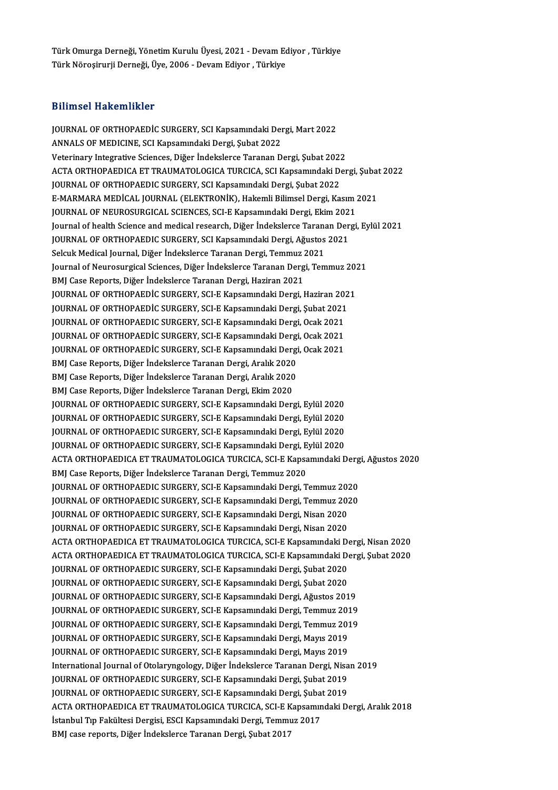Türk Omurga Derneği, Yönetim Kurulu Üyesi, 2021 - Devam Ediyor , Türkiye<br>Türk Nöresinuni Derneği, İlve 2006 - Devam Ediyor , Türkiye Türk Omurga Derneği, Yönetim Kurulu Üyesi, 2021 - Devam Ec<br>Türk Nöroşirurji Derneği, Üye, 2006 - Devam Ediyor , Türkiye Türk Nöroşirurji Derneği, Üye, 2006 - Devam Ediyor , Türkiye<br>Bilimsel Hakemlikler

Bilimsel Hakemlikler<br>JOURNAL OF ORTHOPAEDİC SURGERY, SCI Kapsamındaki Dergi, Mart 2022<br>ANNALS OF MEDICINE, SCI Kapsamındaki Dergi, Subat 2022 2311111001 TRANSINININGI<br>JOURNAL OF ORTHOPAEDİC SURGERY, SCI Kapsamındaki Der<br>ANNALS OF MEDICINE, SCI Kapsamındaki Dergi, Şubat 2022<br>Veterinary Integratiya Sciences, Diğer İndeksleres Terenan D JOURNAL OF ORTHOPAEDIC SURGERY, SCI Kapsamındaki Dergi, Mart 2022<br>ANNALS OF MEDICINE, SCI Kapsamındaki Dergi, Şubat 2022<br>Veterinary Integrative Sciences, Diğer İndekslerce Taranan Dergi, Şubat 2022<br>ACTA ORTHORAEDICA ET TRA ANNALS OF MEDICINE, SCI Kapsamındaki Dergi, Şubat 2022<br>Veterinary Integrative Sciences, Diğer İndekslerce Taranan Dergi, Şubat 2022<br>ACTA ORTHOPAEDICA ET TRAUMATOLOGICA TURCICA, SCI Kapsamındaki Dergi, Subat 2022 JOURNAL OF ORTHOPAEDIC SURGERY, SCI Kapsamındaki Dergi, Şubat 2022 ACTA ORTHOPAEDICA ET TRAUMATOLOGICA TURCICA, SCI Kapsamındaki Dergi, Şubat<br>JOURNAL OF ORTHOPAEDIC SURGERY, SCI Kapsamındaki Dergi, Şubat 2022<br>E-MARMARA MEDİCAL JOURNAL (ELEKTRONİK), Hakemli Bilimsel Dergi, Kasım 2021<br>JOUPN JOURNAL OF ORTHOPAEDIC SURGERY, SCI Kapsamındaki Dergi, Şubat 2022<br>E-MARMARA MEDİCAL JOURNAL (ELEKTRONİK), Hakemli Bilimsel Dergi, Kasım :<br>JOURNAL OF NEUROSURGICAL SCIENCES, SCI-E Kapsamındaki Dergi, Ekim 2021<br>Journal of b E-MARMARA MEDİCAL JOURNAL (ELEKTRONİK), Hakemli Bilimsel Dergi, Kasım 2021<br>JOURNAL OF NEUROSURGICAL SCIENCES, SCI-E Kapsamındaki Dergi, Ekim 2021<br>Journal of health Science and medical research, Diğer İndekslerce Taranan De JOURNAL OF NEUROSURGICAL SCIENCES, SCI-E Kapsamındaki Dergi, Ekim 2021<br>Journal of health Science and medical research, Diğer İndekslerce Taranan Derg<br>JOURNAL OF ORTHOPAEDIC SURGERY, SCI Kapsamındaki Dergi, Ağustos 2021<br>Sel Journal of health Science and medical research, Diğer İndekslerce Taranan Dergi, Eylül 2021 JOURNAL OF ORTHOPAEDIC SURGERY, SCI Kapsamındaki Dergi, Ağustos 2021<br>Selcuk Medical Journal, Diğer İndekslerce Taranan Dergi, Temmuz 2021<br>Journal of Neurosurgical Sciences, Diğer İndekslerce Taranan Dergi, Temmuz 2021<br>PMI Selcuk Medical Journal, Diğer İndekslerce Taranan Dergi, Temmuz 2<br>Journal of Neurosurgical Sciences, Diğer İndekslerce Taranan Derg<br>BMJ Case Reports, Diğer İndekslerce Taranan Dergi, Haziran 2021<br>JOURNAL OF OPTHORAEDİÇ SUR Journal of Neurosurgical Sciences, Diğer İndekslerce Taranan Dergi, Temmuz 20<mark>.</mark><br>BMJ Case Reports, Diğer İndekslerce Taranan Dergi, Haziran 2021<br>JOURNAL OF ORTHOPAEDİC SURGERY, SCI-E Kapsamındaki Dergi, Haziran 2021<br>JOURNA BMJ Case Reports, Diğer İndekslerce Taranan Dergi, Haziran 2021<br>JOURNAL OF ORTHOPAEDİC SURGERY, SCI-E Kapsamındaki Dergi, Haziran 202<br>JOURNAL OF ORTHOPAEDİC SURGERY, SCI-E Kapsamındaki Dergi, Şubat 2021<br>JOURNAL OF ORTHOPAE JOURNAL OF ORTHOPAEDIC SURGERY, SCI-E Kapsamındaki Dergi, Haziran 20<mark>:</mark><br>JOURNAL OF ORTHOPAEDIC SURGERY, SCI-E Kapsamındaki Dergi, Şubat 2021<br>JOURNAL OF ORTHOPAEDIC SURGERY, SCI-E Kapsamındaki Dergi, Ocak 2021<br>JOURNAL OF OP JOURNAL OF ORTHOPAEDİC SURGERY, SCI-E Kapsamındaki Dergi, Şubat 2021<br>JOURNAL OF ORTHOPAEDIC SURGERY, SCI-E Kapsamındaki Dergi, Ocak 2021<br>JOURNAL OF ORTHOPAEDİC SURGERY, SCI-E Kapsamındaki Dergi, Ocak 2021 JOURNAL OF ORTHOPAEDIC SURGERY, SCI-E Kapsamındaki Dergi, Ocak 2021<br>JOURNAL OF ORTHOPAEDİC SURGERY, SCI-E Kapsamındaki Dergi, Ocak 2021<br>JOURNAL OF ORTHOPAEDİC SURGERY, SCI-E Kapsamındaki Dergi, Ocak 2021<br>PMI Cese Benerts, JOURNAL OF ORTHOPAEDIC SURGERY, SCI-E Kapsamındaki Dergi<br>JOURNAL OF ORTHOPAEDIC SURGERY, SCI-E Kapsamındaki Dergi<br>BMJ Case Reports, Diğer İndekslerce Taranan Dergi, Aralık 2020<br>BMJ Case Benerts, Diğer İndekslerce Taranan D JOURNAL OF ORTHOPAEDİC SURGERY, SCI-E Kapsamındaki Dergi<br>BMJ Case Reports, Diğer İndekslerce Taranan Dergi, Aralık 2020<br>BMJ Case Reports, Diğer İndekslerce Taranan Dergi, Aralık 2020<br>BMJ Case Benerts, Diğer İndekslerce Tar BMJ Case Reports, Diğer İndekslerce Taranan Dergi, Aralık 2020<br>BMJ Case Reports, Diğer İndekslerce Taranan Dergi, Aralık 2020<br>BMJ Case Reports, Diğer İndekslerce Taranan Dergi, Ekim 2020 BMJ Case Reports, Diğer İndekslerce Taranan Dergi, Aralık 2020<br>BMJ Case Reports, Diğer İndekslerce Taranan Dergi, Ekim 2020<br>JOURNAL OF ORTHOPAEDIC SURGERY, SCI-E Kapsamındaki Dergi, Eylül 2020<br>JOURNAL OF OPTHOPAEDIC SURGER BMJ Case Reports, Diğer İndekslerce Taranan Dergi, Ekim 2020<br>JOURNAL OF ORTHOPAEDIC SURGERY, SCI-E Kapsamındaki Dergi, Eylül 2020<br>JOURNAL OF ORTHOPAEDIC SURGERY, SCI-E Kapsamındaki Dergi, Eylül 2020<br>JOURNAL OF OPTHOPAEDIC JOURNAL OF ORTHOPAEDIC SURGERY, SCI-E Kapsamındaki Dergi, Eylül 2020<br>JOURNAL OF ORTHOPAEDIC SURGERY, SCI-E Kapsamındaki Dergi, Eylül 2020<br>JOURNAL OF ORTHOPAEDIC SURGERY, SCI-E Kapsamındaki Dergi, Eylül 2020<br>JOURNAL OF OPTH JOURNAL OF ORTHOPAEDIC SURGERY, SCI-E Kapsamındaki Dergi, Eylül 2020<br>JOURNAL OF ORTHOPAEDIC SURGERY, SCI-E Kapsamındaki Dergi, Eylül 2020<br>JOURNAL OF ORTHOPAEDIC SURGERY, SCI-E Kapsamındaki Dergi, Eylül 2020<br>ACTA ORTHOPAEDI JOURNAL OF ORTHOPAEDIC SURGERY, SCI-E Kapsamındaki Dergi, Eylül 2020<br>JOURNAL OF ORTHOPAEDIC SURGERY, SCI-E Kapsamındaki Dergi, Eylül 2020<br>ACTA ORTHOPAEDICA ET TRAUMATOLOGICA TURCICA, SCI-E Kapsamındaki Dergi, Ağustos 2020<br> JOURNAL OF ORTHOPAEDIC SURGERY, SCI-E Kapsamındaki Dergi, E<br>ACTA ORTHOPAEDICA ET TRAUMATOLOGICA TURCICA, SCI-E Kapsa<br>BMJ Case Reports, Diğer İndekslerce Taranan Dergi, Temmuz 2020<br>JOUPNAL OE ORTHOPAEDIC SURCERY, SCI E Kaps ACTA ORTHOPAEDICA ET TRAUMATOLOGICA TURCICA, SCI-E Kapsamındaki Derg<br>BMJ Case Reports, Diğer İndekslerce Taranan Dergi, Temmuz 2020<br>JOURNAL OF ORTHOPAEDIC SURGERY, SCI-E Kapsamındaki Dergi, Temmuz 2020<br>JOURNAL OF ORTHOPAED BMJ Case Reports, Diğer İndekslerce Taranan Dergi, Temmuz 2020<br>JOURNAL OF ORTHOPAEDIC SURGERY, SCI-E Kapsamındaki Dergi, Temmuz 2020<br>JOURNAL OF ORTHOPAEDIC SURGERY, SCI-E Kapsamındaki Dergi, Temmuz 2020 JOURNAL OF ORTHOPAEDIC SURGERY, SCI-E Kapsamındaki Dergi, Temmuz 20<mark>2</mark><br>JOURNAL OF ORTHOPAEDIC SURGERY, SCI-E Kapsamındaki Dergi, Temmuz 202<br>JOURNAL OF ORTHOPAEDIC SURGERY, SCI-E Kapsamındaki Dergi, Nisan 2020<br>JOURNAL OF OR JOURNAL OF ORTHOPAEDIC SURGERY, SCI-E Kapsamındaki Dergi, Temmuz 20<mark>2</mark><br>JOURNAL OF ORTHOPAEDIC SURGERY, SCI-E Kapsamındaki Dergi, Nisan 2020<br>JOURNAL OF ORTHOPAEDIC SURGERY, SCI-E Kapsamındaki Dergi, Nisan 2020<br>ACTA OPTHOPAE JOURNAL OF ORTHOPAEDIC SURGERY, SCI-E Kapsamındaki Dergi, Nisan 2020<br>JOURNAL OF ORTHOPAEDIC SURGERY, SCI-E Kapsamındaki Dergi, Nisan 2020<br>ACTA ORTHOPAEDICA ET TRAUMATOLOGICA TURCICA, SCI-E Kapsamındaki Dergi, Nisan 2020<br>AC JOURNAL OF ORTHOPAEDIC SURGERY, SCI-E Kapsamındaki Dergi, Nisan 2020<br>ACTA ORTHOPAEDICA ET TRAUMATOLOGICA TURCICA, SCI-E Kapsamındaki Dergi, Nisan 2020<br>ACTA ORTHOPAEDICA ET TRAUMATOLOGICA TURCICA, SCI-E Kapsamındaki Dergi, ACTA ORTHOPAEDICA ET TRAUMATOLOGICA TURCICA, SCI-E Kapsamındaki Dergi, Şubat 2020<br>JOURNAL OF ORTHOPAEDIC SURGERY, SCI-E Kapsamındaki Dergi, Şubat 2020 JOURNAL OF ORTHOPAEDIC SURGERY, SCI-E Kapsamındaki Dergi, Şubat 2020 JOURNAL OF ORTHOPAEDIC SURGERY, SCI-E Kapsamındaki Dergi, Şubat 2020<br>JOURNAL OF ORTHOPAEDIC SURGERY, SCI-E Kapsamındaki Dergi, Şubat 2020<br>JOURNAL OF ORTHOPAEDIC SURGERY, SCI-E Kapsamındaki Dergi, Ağustos 2019<br>JOURNAL OF OR JOURNAL OF ORTHOPAEDIC SURGERY, SCI-E Kapsamındaki Dergi, Şubat 2020<br>JOURNAL OF ORTHOPAEDIC SURGERY, SCI-E Kapsamındaki Dergi, Ağustos 2019<br>JOURNAL OF ORTHOPAEDIC SURGERY, SCI-E Kapsamındaki Dergi, Temmuz 2019<br>JOURNAL OF O JOURNAL OF ORTHOPAEDIC SURGERY, SCI-E Kapsamındaki Dergi, Ağustos 2019<br>JOURNAL OF ORTHOPAEDIC SURGERY, SCI-E Kapsamındaki Dergi, Temmuz 2019<br>JOURNAL OF ORTHOPAEDIC SURGERY, SCI-E Kapsamındaki Dergi, Temmuz 2019<br>JOURNAL OF JOURNAL OF ORTHOPAEDIC SURGERY, SCI-E Kapsamındaki Dergi, Temmuz 2019<br>JOURNAL OF ORTHOPAEDIC SURGERY, SCI-E Kapsamındaki Dergi, Temmuz 2019<br>JOURNAL OF ORTHOPAEDIC SURGERY, SCI-E Kapsamındaki Dergi, Mayıs 2019 JOURNAL OF ORTHOPAEDIC SURGERY, SCI-E Kapsamındaki Dergi, Temmuz 201<br>JOURNAL OF ORTHOPAEDIC SURGERY, SCI-E Kapsamındaki Dergi, Mayıs 2019<br>JOURNAL OF ORTHOPAEDIC SURGERY, SCI-E Kapsamındaki Dergi, Mayıs 2019<br>International J JOURNAL OF ORTHOPAEDIC SURGERY, SCI-E Kapsamındaki Dergi, Mayıs 2019<br>JOURNAL OF ORTHOPAEDIC SURGERY, SCI-E Kapsamındaki Dergi, Mayıs 2019<br>International Journal of Otolaryngology, Diğer İndekslerce Taranan Dergi, Nisan 2019 JOURNAL OF ORTHOPAEDIC SURGERY, SCI-E Kapsamındaki Dergi, Mayıs 2019<br>International Journal of Otolaryngology, Diğer İndekslerce Taranan Dergi, Nisa<br>JOURNAL OF ORTHOPAEDIC SURGERY, SCI-E Kapsamındaki Dergi, Şubat 2019<br>JOURN International Journal of Otolaryngology, Diğer İndekslerce Taranan Dergi, Nisa<br>JOURNAL OF ORTHOPAEDIC SURGERY, SCI-E Kapsamındaki Dergi, Şubat 2019<br>JOURNAL OF ORTHOPAEDIC SURGERY, SCI-E Kapsamındaki Dergi, Şubat 2019<br>ACTA JOURNAL OF ORTHOPAEDIC SURGERY, SCI-E Kapsamındaki Dergi, Şubat 2019<br>JOURNAL OF ORTHOPAEDIC SURGERY, SCI-E Kapsamındaki Dergi, Şubat 2019<br>ACTA ORTHOPAEDICA ET TRAUMATOLOGICA TURCICA, SCI-E Kapsamındaki Dergi, Aralık 2018<br>İ JOURNAL OF ORTHOPAEDIC SURGERY, SCI-E Kapsamındaki Dergi, Şuba<br>ACTA ORTHOPAEDICA ET TRAUMATOLOGICA TURCICA, SCI-E Kapsamın<br>İstanbul Tıp Fakültesi Dergisi, ESCI Kapsamındaki Dergi, Temmuz 2017<br>PMI sese renerta Dižer İndeksl ACTA ORTHOPAEDICA ET TRAUMATOLOGICA TURCICA, SCI-E K<br>İstanbul Tıp Fakültesi Dergisi, ESCI Kapsamındaki Dergi, Temmı<br>BMJ case reports, Diğer İndekslerce Taranan Dergi, Şubat 2017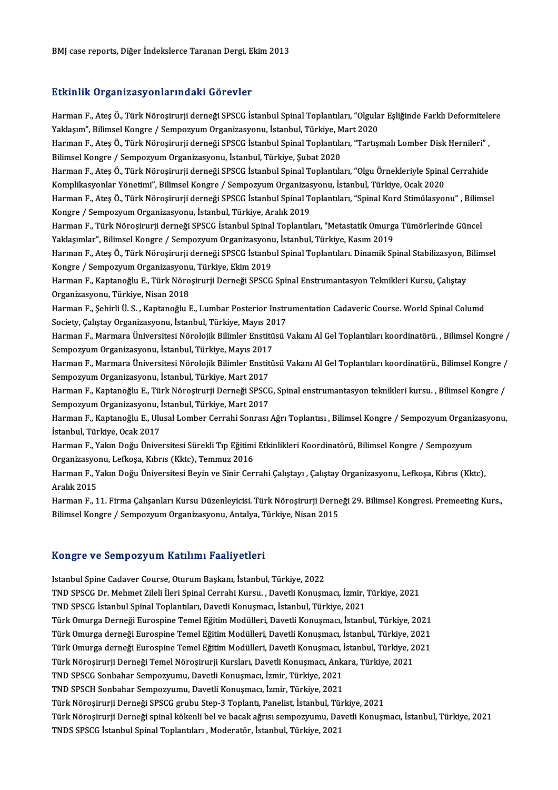### Etkinlik Organizasyonlarındaki Görevler

Etkinlik Organizasyonlarındaki Görevler<br>Harman F., Ateş Ö., Türk Nöroşirurji derneği SPSCG İstanbul Spinal Toplantıları, "Olgular Eşliğinde Farklı Deformitelere<br>Yaklasım", Bilimsel Kangre / Samnegyum Organizasyonu, İstanbu Yakıklarım Yayakladay Yakla kısalık dövevlet<br>Harman F., Ateş Ö., Türk Nöroşirurji derneği SPSCG İstanbul Spinal Toplantıları, "Olgula<br>Yaklaşım", Bilimsel Kongre / Sempozyum Organizasyonu, İstanbul, Türkiye, Mart 2020<br>Harma Harman F., Ateş Ö., Türk Nöroşirurji derneği SPSCG İstanbul Spinal Toplantıları, "Olgular Eşliğinde Farklı Deformitele<br>Yaklaşım", Bilimsel Kongre / Sempozyum Organizasyonu, İstanbul, Türkiye, Mart 2020<br>Harman F., Ateş Ö., Yaklaşım", Bilimsel Kongre / Sempozyum Organizasyonu, İstanbul, Türkiye, Mart 2020<br>Harman F., Ateş Ö., Türk Nöroşirurji derneği SPSCG İstanbul Spinal Toplantıları, "Tartışmalı Lomber Disk Hernileri" ,<br>Bilimsel Kongre / Sem Harman F., Ateş Ö., Türk Nöroşirurji derneği SPSCG İstanbul Spinal Toplantıları, "Tartışmalı Lomber Disk Hernileri", Bilimsel Kongre / Sempozyum Organizasyonu, İstanbul, Türkiye, Şubat 2020<br>Harman F., Ateş Ö., Türk Nöroşirurji derneği SPSCG İstanbul Spinal Toplantıları, "Olgu Örnekleriyle Spina<br>Komplikasyonlar Yönetimi", Bilimsel Kongre Harman F., Ateş Ö., Türk Nöroşirurji derneği SPSCG İstanbul Spinal Toplantıları, "Olgu Örnekleriyle Spinal Cerrahide<br>Komplikasyonlar Yönetimi", Bilimsel Kongre / Sempozyum Organizasyonu, İstanbul, Türkiye, Ocak 2020<br>Harman Komplikasyonlar Yönetimi", Bilimsel Kongre / Sempozyum Organizas<br>Harman F., Ateş Ö., Türk Nöroşirurji derneği SPSCG İstanbul Spinal To<br>Kongre / Sempozyum Organizasyonu, İstanbul, Türkiye, Aralık 2019<br>Harman E. Türk Nörosir Harman F., Ateş Ö., Türk Nöroşirurji derneği SPSCG İstanbul Spinal Toplantıları, "Spinal Kord Stimülasyonu" , Bilimsel<br>Kongre / Sempozyum Organizasyonu, İstanbul, Türkiye, Aralık 2019 Harman F., Türk Nöroşirurji derneği SPSCG İstanbul Spinal Toplantıları, "Metastatik Omurga Tümörlerinde Güncel Harman F., Ateş Ö., Türk Nöroşirurji derneği SPSCG İstanbul Spinal Toplantıları. Dinamik Spinal Stabilizasyon, Bilimsel<br>Kongre / Sempozyum Organizasyonu, Türkiye, Ekim 2019 Yaklaşımlar", Bilimsel Kongre / Sempozyum Organizasyonu, İstanbul, Türkiye, Kasım 2019 Harman F., Ateş Ö., Türk Nöroşirurji derneği SPSCG İstanbul Spinal Toplantıları. Dinamik Spinal Stabilizasyon, I<br>Kongre / Sempozyum Organizasyonu, Türkiye, Ekim 2019<br>Harman F., Kaptanoğlu E., Türk Nöroşirurji Derneği SPSCG Kongre / Sempozyum Organizasyonu<br>Harman F., Kaptanoğlu E., Türk Nöro<br>Organizasyonu, Türkiye, Nisan 2018<br>Harman E. Sebirli Ü.S., Kantanoğlu E Harman F., Kaptanoğlu E., Türk Nöroşirurji Derneği SPSCG Spinal Enstrumantasyon Teknikleri Kursu, Çalıştay<br>Organizasyonu, Türkiye, Nisan 2018<br>Harman F., Şehirli Ü. S. , Kaptanoğlu E., Lumbar Posterior Instrumentation Cadav Organizasyonu, Türkiye, Nisan 2018<br>Harman F., Şehirli Ü. S. , Kaptanoğlu E., Lumbar Posterior Instrumentation Cadaveric Course. World Spinal Columd Harman F., Şehirli Ü. S. , Kaptanoğlu E., Lumbar Posterior Instrumentation Cadaveric Course. World Spinal Columd<br>Society, Çalıştay Organizasyonu, İstanbul, Türkiye, Mayıs 2017<br>Harman F., Marmara Üniversitesi Nörolojik Bili Society, Çalıştay Organizasyonu, İstanbul, Türkiye, Mayıs 2017<br>Harman F., Marmara Üniversitesi Nörolojik Bilimler Enstitüsü Vakanı Al Gel Toplantıları koordinatörü. , Bilimsel Kongre /<br>Sempozyum Organizasyonu, İstanbul, Tü Harman F., Marmara Üniversitesi Nörolojik Bilimler Enstitüsü Vakanı Al Gel Toplantıları koordinatörü. , Bilimsel Kongre /<br>Sempozyum Organizasyonu, İstanbul, Türkiye, Mayıs 2017<br>Harman F., Marmara Üniversitesi Nörolojik Bil Sempozyum Organizasyonu, İstanbul, Türkiye, Mayıs 2017<br>Harman F., Marmara Üniversitesi Nörolojik Bilimler Enstiti<br>Sempozyum Organizasyonu, İstanbul, Türkiye, Mart 2017 Harman F., Marmara Üniversitesi Nörolojik Bilimler Enstitüsü Vakanı Al Gel Toplantıları koordinatörü., Bilimsel Kongre /<br>Sempozyum Organizasyonu, İstanbul, Türkiye, Mart 2017<br>Harman F., Kaptanoğlu E., Türk Nöroşirurji Dern Sempozyum Organizasyonu, İstanbul, Türkiye, Mart 2017<br>Harman F., Kaptanoğlu E., Türk Nöroşirurji Derneği SPSCO<br>Sempozyum Organizasyonu, İstanbul, Türkiye, Mart 2017<br>Harman E. Kaptanoğlu E. Ulucal Lambar Carrabi Sanrası Harman F., Kaptanoğlu E., Türk Nöroşirurji Derneği SPSCG, Spinal enstrumantasyon teknikleri kursu. , Bilimsel Kongre /<br>Sempozyum Organizasyonu, İstanbul, Türkiye, Mart 2017<br>Harman F., Kaptanoğlu E., Ulusal Lomber Cerrahi S Sempozyum Organizasyonu, İstanbul, Türkiye, Mart 2017<br>Harman F., Kaptanoğlu E., Ulusal Lomber Cerrahi Sonrası Ağrı Toplantısı , Bilimsel Kongre / Sempozyum Organizasyonu,<br>İstanbul, Türkiye, Ocak 2017 Harman F., Kaptanoğlu E., Ulusal Lomber Cerrahi Sonrası Ağrı Toplantısı , Bilimsel Kongre / Sempozyum Organiz<br>İstanbul, Türkiye, Ocak 2017<br>Harman F., Yakın Doğu Üniversitesi Sürekli Tıp Eğitimi Etkinlikleri Koordinatörü, B İstanbul, Türkiye, Ocak 2017<br>Harman F., Yakın Doğu Üniversitesi Sürekli Tıp Eğitimi<br>Organizasyonu, Lefkoşa, Kıbrıs (Kktc), Temmuz 2016<br>Harman E. Yakın Doğu Üniversitesi Beyin ve Sinir Cer Harman F., Yakın Doğu Üniversitesi Sürekli Tıp Eğitimi Etkinlikleri Koordinatörü, Bilimsel Kongre / Sempozyum<br>Organizasyonu, Lefkoşa, Kıbrıs (Kktc), Temmuz 2016<br>Harman F., Yakın Doğu Üniversitesi Beyin ve Sinir Cerrahi Çal Organizasyonu, Lefkoşa, Kıbrıs (Kktc), Temmuz 2016<br>Harman F., Yakın Doğu Üniversitesi Beyin ve Sinir Cerrahi Çalıştayı , Çalıştay Organizasyonu, Lefkoşa, Kıbrıs (Kktc),<br>Aralık 2015

Harman F., 11. Firma Çalışanları Kursu Düzenleyicisi. Türk Nöroşirurji Derneği 29. Bilimsel Kongresi. Premeeting Kurs., Bilimsel Kongre / Sempozyum Organizasyonu, Antalya, Türkiye, Nisan 2015

### Kongre ve SempozyumKatılımı Faaliyetleri

Istanbul Spine Cadaver Course, Oturum Başkanı, İstanbul, Türkiye, 2022 TOTIST O VO OOTIP OLY ATT TRAFITIN'I AMITY OLIOTI<br>Istanbul Spine Cadaver Course, Oturum Başkanı, İstanbul, Türkiye, 2022<br>TND SPSCG İstanbul Spinal Toplantıları, Davetli Konuşmacı, İstanbul, Türkiye, 2021<br>TND SPSCG İstanbul Istanbul Spine Cadaver Course, Oturum Başkanı, İstanbul, Türkiye, 2022<br>TND SPSCG Dr. Mehmet Zileli İleri Spinal Cerrahi Kursu. , Davetli Konuşmacı, İzmir,<br>TND SPSCG İstanbul Spinal Toplantıları, Davetli Konuşmacı, İstanbul TND SPSCG Dr. Mehmet Zileli İleri Spinal Cerrahi Kursu. , Davetli Konuşmacı, İzmir, Türkiye, 2021<br>TND SPSCG İstanbul Spinal Toplantıları, Davetli Konuşmacı, İstanbul, Türkiye, 2021<br>Türk Omurga Derneği Eurospine Temel Eğiti TND SPSCG İstanbul Spinal Toplantıları, Davetli Konuşmacı, İstanbul, Türkiye, 2021<br>Türk Omurga Derneği Eurospine Temel Eğitim Modülleri, Davetli Konuşmacı, İstanbul, Türkiye, 2021<br>Türk Omurga derneği Eurospine Temel Eğitim Türk Omurga Derneği Eurospine Temel Eğitim Modülleri, Davetli Konuşmacı, İstanbul, Türkiye, 2021<br>Türk Omurga derneği Eurospine Temel Eğitim Modülleri, Davetli Konuşmacı, İstanbul, Türkiye, 2021<br>Türk Omurga derneği Eurospin Türk Omurga derneği Eurospine Temel Eğitim Modülleri, Davetli Konuşmacı, İstanbul, Türkiye, 2<br>Türk Omurga derneği Eurospine Temel Eğitim Modülleri, Davetli Konuşmacı, İstanbul, Türkiye, 2<br>Türk Nöroşirurji Derneği Temel Nör Türk Omurga derneği Eurospine Temel Eğitim Modülleri, Davetli Konuşmacı, İ<br>Türk Nöroşirurji Derneği Temel Nöroşirurji Kursları, Davetli Konuşmacı, Anka<br>TND SPSCG Sonbahar Sempozyumu, Davetli Konuşmacı, İzmir, Türkiye, 2021 Türk Nöroşirurji Derneği Temel Nöroşirurji Kursları, Davetli Konuşmacı, Anka<br>TND SPSCG Sonbahar Sempozyumu, Davetli Konuşmacı, İzmir, Türkiye, 2021<br>TND SPSCH Sonbahar Sempozyumu, Davetli Konuşmacı, İzmir, Türkiye, 2021<br>Tür TND SPSCG Sonbahar Sempozyumu, Davetli Konuşmacı, İzmir, Türkiye, 2021<br>TND SPSCH Sonbahar Sempozyumu, Davetli Konuşmacı, İzmir, Türkiye, 2021<br>Türk Nöroşirurji Derneği SPSCG grubu Step-3 Toplantı, Panelist, İstanbul, Türkiy TND SPSCH Sonbahar Sempozyumu, Davetli Konuşmacı, İzmir, Türkiye, 2021<br>Türk Nöroşirurji Derneği SPSCG grubu Step-3 Toplantı, Panelist, İstanbul, Türkiye, 2021<br>Türk Nöroşirurji Derneği spinal kökenli bel ve bacak ağrısı sem Türk Nöroşirurji Derneği SPSCG grubu Step-3 Toplantı, Panelist, İstanbul, Tüı<br>Türk Nöroşirurji Derneği spinal kökenli bel ve bacak ağrısı sempozyumu, Da<br>TNDS SPSCG İstanbul Spinal Toplantıları , Moderatör, İstanbul, Türkiy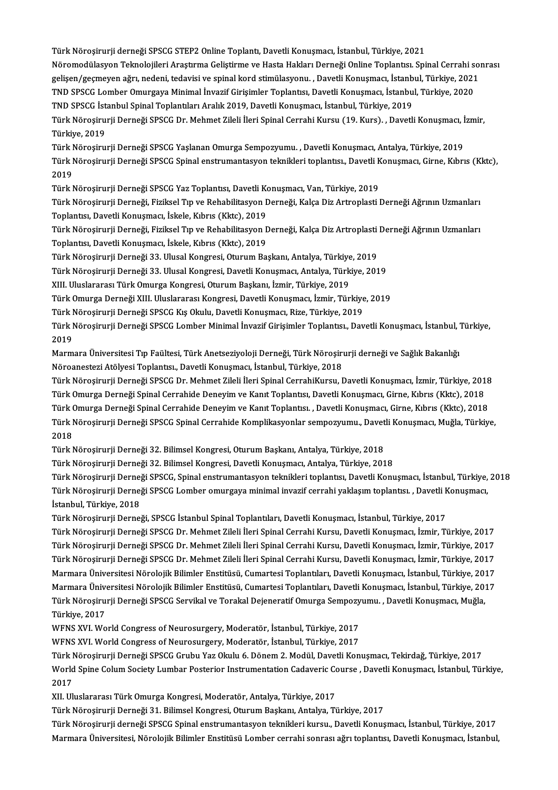Türk Nöroşirurji derneği SPSCG STEP2 Online Toplantı, Davetli Konuşmacı, İstanbul, Türkiye, 2021<br>Nöromodülesyen Telmelejileri Arastrume Celistiume ve Hesta Helderu Derneği Online Tenlentev Spi Türk Nöroşirurji derneği SPSCG STEP2 Online Toplantı, Davetli Konuşmacı, İstanbul, Türkiye, 2021<br>Nöromodülasyon Teknolojileri Araştırma Geliştirme ve Hasta Hakları Derneği Online Toplantısı. Spinal Cerrahi sonrası<br>Selisen Türk Nöroşirurji derneği SPSCG STEP2 Online Toplantı, Davetli Konuşmacı, İstanbul, Türkiye, 2021<br>Nöromodülasyon Teknolojileri Araştırma Geliştirme ve Hasta Hakları Derneği Online Toplantısı. Spinal Cerrahi so<br>gelişen/geçme Nöromodülasyon Teknolojileri Araştırma Geliştirme ve Hasta Hakları Derneği Online Toplantısı. Spinal Cerrahi s<br>gelişen/geçmeyen ağrı, nedeni, tedavisi ve spinal kord stimülasyonu. , Davetli Konuşmacı, İstanbul, Türkiye, 20 gelişen/geçmeyen ağrı, nedeni, tedavisi ve spinal kord stimülasyonu. , Davetli Konuşmacı, İstanbu<br>TND SPSCG Lomber Omurgaya Minimal İnvazif Girişimler Toplantısı, Davetli Konuşmacı, İstanbu<br>Türk Nörosinurii Derneği SPSCC D TND SPSCG Lomber Omurgaya Minimal İnvazif Girişimler Toplantısı, Davetli Konuşmacı, İstanbul, Türkiye, 2020<br>TND SPSCG İstanbul Spinal Toplantıları Aralık 2019, Davetli Konuşmacı, İstanbul, Türkiye, 2019<br>Türk Nöroşirurji De TND SPSCG İstanbul Spinal Toplantıları Aralık 2019, Davetli Konuşmacı, İstanbul, Türkiye, 2019<br>Türk Nöroşirurji Derneği SPSCG Dr. Mehmet Zileli İleri Spinal Cerrahi Kursu (19. Kurs). , Davetl<br>Türkiye, 2019 Türk Nöroşirurji Derneği SPSCG Dr. Mehmet Zileli İleri Spinal Cerrahi Kursu (19. Kurs). , Davetli Konuşmacı, İ<br>Türkiye, 2019<br>Türk Nöroşirurji Derneği SPSCG Yaşlanan Omurga Sempozyumu. , Davetli Konuşmacı, Antalya, Türkiye,

Türk Nöroşirurji Derneği SPSCG Spinal enstrumantasyon teknikleri toplantısı., Davetli Konuşmacı, Girne, Kıbrıs (Kktc),<br>2019 Türk Nöroşirurji Derneği SPSCG Yaşlanan Omurga Sempozyumu., Davetli Konuşmacı, Antalya, Türkiye, 2019 Türk Nöroşirurji Derneği SPSCG Spinal enstrumantasyon teknikleri toplantısı., Davetli K<br>2019<br>Türk Nöroşirurji Derneği SPSCG Yaz Toplantısı, Davetli Konuşmacı, Van, Türkiye, 2019<br>Türk Nörosinurji Derneği, Fizikael Tın ve Be

Türk Nöroşirurji Derneği, Fiziksel Tıp ve Rehabilitasyon Derneği, Kalça Diz Artroplasti Derneği Ağrının Uzmanları<br>Toplantısı, Davetli Konuşmacı, İskele, Kıbrıs (Kktc), 2019 Türk Nöroşirurji Derneği SPSCG Yaz Toplantısı, Davetli Konuşmacı, İsmetli Konuşmacı, İskele, Kıbrıs (Kktc), 2019<br>Toplantısı, Davetli Konuşmacı, İskele, Kıbrıs (Kktc), 2019<br>Türk Nörosirurji Derneği, Fiziksel Tıp ve Pehebili Türk Nöroşirurji Derneği, Fiziksel Tıp ve Rehabilitasyon Derneği, Kalça Diz Artroplasti Derneği Ağrının Uzmanları<br>Toplantısı, Davetli Konuşmacı, İskele, Kıbrıs (Kktc), 2019<br>Türk Nöroşirurji Derneği, Fiziksel Tıp ve Rehabil

Toplantısı, Davetli Konuşmacı, İskele, Kıbrıs (Kktc), 2019<br>Türk Nöroşirurji Derneği, Fiziksel Tıp ve Rehabilitasyon I<br>Töplantısı, Davetli Konuşmacı, İskele, Kıbrıs (Kktc), 2019<br>Türk Nörosirurji Derneği 22, Ulusel Kongresi, Türk Nöroşirurji Derneği, Fiziksel Tıp ve Rehabilitasyon Derneği, Kalça Diz Artroplasti<br>Toplantısı, Davetli Konuşmacı, İskele, Kıbrıs (Kktc), 2019<br>Türk Nöroşirurji Derneği 33. Ulusal Kongresi, Oturum Başkanı, Antalya, Türk

Türk Nöroşirurji Derneği 33. Ulusal Kongresi, Oturum Başkanı, Antalya, Türkiye, 2019

Toplantısı, Davetli Konuşmacı, İskele, Kıbrıs (Kktc), 2019<br>Türk Nöroşirurji Derneği 33. Ulusal Kongresi, Oturum Başkanı, Antalya, Türkiye, 2019<br>Türk Nöroşirurji Derneği 33. Ulusal Kongresi, Davetli Konuşmacı, Antalya, Türk

Türk Nöroşirurji Derneği 33. Ulusal Kongresi, Davetli Konuşmacı, Antalya, Türkiye, 2019<br>XIII. Uluslararası Türk Omurga Kongresi, Oturum Başkanı, İzmir, Türkiye, 2019<br>Türk Omurga Derneği XIII. Uluslararası Kongresi, Davetli XIII. Uluslararası Türk Omurga Kongresi, Oturum Başkanı, İzmir, Türkiye, 2019<br>Türk Omurga Derneği XIII. Uluslararası Kongresi, Davetli Konuşmacı, İzmir, Türkiye<br>Türk Nöroşirurji Derneği SPSCG Kış Okulu, Davetli Konuşmacı,

Türk Nöroşirurji Derneği SPSCG Kış Okulu, Davetli Konuşmacı, Rize, Türkiye, 2019

Türk Nöroşirurji Derneği SPSCG Lomber Minimal İnvazif Girişimler Toplantısı., Davetli Konuşmacı, İstanbul, Türkiye,<br>2019 Türk Nöroşirurji Derneği SPSCG Lomber Minimal İnvazif Girişimler Toplantısı., Davetli Konuşmacı, İstanbul, "<br>2019<br>Marmara Üniversitesi Tıp Faültesi, Türk Anetseziyoloji Derneği, Türk Nöroşirurji derneği ve Sağlık Bakanlığı

2019<br>Marmara Üniversitesi Tıp Faültesi, Türk Anetseziyoloji Derneği, Türk Nöroşirı<br>Nöroanestezi Atölyesi Toplantısı., Davetli Konuşmacı, İstanbul, Türkiye, 2018<br>Türk Nörosirurii Derneği SPSCC Dr. Mehmet Zileli İleri Spinal Marmara Üniversitesi Tıp Faültesi, Türk Anetseziyoloji Derneği, Türk Nöroşirurji derneği ve Sağlık Bakanlığı<br>Nöroanestezi Atölyesi Toplantısı., Davetli Konuşmacı, İstanbul, Türkiye, 2018<br>Türk Nöroşirurji Derneği SPSCG Dr.

Nöroanestezi Atölyesi Toplantısı., Davetli Konuşmacı, İstanbul, Türkiye, 2018<br>Türk Nöroşirurji Derneği SPSCG Dr. Mehmet Zileli İleri Spinal CerrahiKursu, Davetli Konuşmacı, İzmir, Türkiye, 201<br>Türk Omurga Derneği Spinal Ce Türk Nöroşirurji Derneği SPSCG Dr. Mehmet Zileli İleri Spinal CerrahiKursu, Davetli Konuşmacı, İzmir, Türkiye, 2018<br>Türk Omurga Derneği Spinal Cerrahide Deneyim ve Kanıt Toplantısı, Davetli Konuşmacı, Girne, Kıbrıs (Kktc), Türk Omurga Derneği Spinal Cerrahide Deneyim ve Kanıt Toplantısı, Davetli Konuşmacı, Girne, Kıbrıs (Kktc), 2018<br>Türk Omurga Derneği Spinal Cerrahide Deneyim ve Kanıt Toplantısı. , Davetli Konuşmacı, Girne, Kıbrıs (Kktc), 2 Türk (<br>Türk I<br>2018<br>Türk I Türk Nöroşirurji Derneği SPSCG Spinal Cerrahide Komplikasyonlar sempozyumu., Davet<br>2018<br>Türk Nöroşirurji Derneği 32. Bilimsel Kongresi, Oturum Başkanı, Antalya, Türkiye, 2018<br>Türk Nörosinurji Derneği 32. Bilimsel Kongresi,

2018<br>Türk Nöroşirurji Derneği 32. Bilimsel Kongresi, Oturum Başkanı, Antalya, Türkiye, 2018<br>Türk Nörosirurji Derneği 32. Bilimsel Kongresi, Davetli Konusmacı, Antalya, Türkiye, 2018

Türk Nöroşirurji Derneği 32. Bilimsel Kongresi, Oturum Başkanı, Antalya, Türkiye, 2018<br>Türk Nöroşirurji Derneği 32. Bilimsel Kongresi, Davetli Konuşmacı, Antalya, Türkiye, 2018<br>Türk Nöroşirurji Derneği SPSCG, Spinal enstru Türk Nöroşirurji Derneği 32. Bilimsel Kongresi, Davetli Konuşmacı, Antalya, Türkiye, 2018<br>Türk Nöroşirurji Derneği SPSCG, Spinal enstrumantasyon teknikleri toplantısı, Davetli Konuşmacı, İstanbul, Türkiye,<br>Türk Nöroşirurji Türk Nöroşirurji Derne<br>Türk Nöroşirurji Derne<br>İstanbul, Türkiye, 2018<br>Türk Nöroşimurii Derne Türk Nöroşirurji Derneği SPSCG Lomber omurgaya minimal invazif cerrahi yaklaşım toplantısı. , Davetli Konuşmacı,<br>İstanbul, Türkiye, 2018<br>Türk Nöroşirurji Derneği, SPSCG İstanbul Spinal Toplantıları, Davetli Konuşmacı, İsta

İstanbul, Türkiye, 2018<br>Türk Nöroşirurji Derneği, SPSCG İstanbul Spinal Toplantıları, Davetli Konuşmacı, İstanbul, Türkiye, 2017<br>Türk Nöroşirurji Derneği SPSCG Dr. Mehmet Zileli İleri Spinal Cerrahi Kursu, Davetli Konuşmac Türk Nöroşirurji Derneği, SPSCG İstanbul Spinal Toplantıları, Davetli Konuşmacı, İstanbul, Türkiye, 2017<br>Türk Nöroşirurji Derneği SPSCG Dr. Mehmet Zileli İleri Spinal Cerrahi Kursu, Davetli Konuşmacı, İzmir, Türkiye, 2017<br> Türk Nöroşirurji Derneği SPSCG Dr. Mehmet Zileli İleri Spinal Cerrahi Kursu, Davetli Konuşmacı, İzmir, Türkiye, 2017<br>Türk Nöroşirurji Derneği SPSCG Dr. Mehmet Zileli İleri Spinal Cerrahi Kursu, Davetli Konuşmacı, İzmir, Tü Türk Nöroşirurji Derneği SPSCG Dr. Mehmet Zileli İleri Spinal Cerrahi Kursu, Davetli Konuşmacı, İzmir, Türkiye, 2017<br>Türk Nöroşirurji Derneği SPSCG Dr. Mehmet Zileli İleri Spinal Cerrahi Kursu, Davetli Konuşmacı, İzmir, Tü Türk Nöroşirurji Derneği SPSCG Dr. Mehmet Zileli İleri Spinal Cerrahi Kursu, Davetli Konuşmacı, İzmir, Türkiye, 2017<br>Marmara Üniversitesi Nörolojik Bilimler Enstitüsü, Cumartesi Toplantıları, Davetli Konuşmacı, İstanbul, T Marmara Üniversitesi Nörolojik Bilimler Enstitüsü, Cumartesi Toplantıları, Davetli Konuşmacı, İstanbul, Türkiye, 20<br>Marmara Üniversitesi Nörolojik Bilimler Enstitüsü, Cumartesi Toplantıları, Davetli Konuşmacı, İstanbul, Tü Marmara Ünive<br>Türk Nöroşiru<br>Türkiye, 2017<br>WENS YVI We Türk Nöroşirurji Derneği SPSCG Servikal ve Torakal Dejeneratif Omurga Sempozy<br>Türkiye, 2017<br>WFNS XVI. World Congress of Neurosurgery, Moderatör, İstanbul, Türkiye, 2017<br>WENS XVI. World Congress of Neurosurgery, Moderatör,

Türkiye, 2017<br>WFNS XVI. World Congress of Neurosurgery, Moderatör, İstanbul, Türkiye, 2017<br>WFNS XVI. World Congress of Neurosurgery, Moderatör, İstanbul, Türkiye, 2017

WFNS XVI. World Congress of Neurosurgery, Moderatör, İstanbul, Türkiye, 2017<br>WFNS XVI. World Congress of Neurosurgery, Moderatör, İstanbul, Türkiye, 2017<br>Türk Nöroşirurji Derneği SPSCG Grubu Yaz Okulu 6. Dönem 2. Modül, Da WFNS XVI. World Congress of Neurosurgery, Moderatör, İstanbul, Türkiye, 2017<br>Türk Nöroşirurji Derneği SPSCG Grubu Yaz Okulu 6. Dönem 2. Modül, Davetli Konuşmacı, Tekirdağ, Türkiye, 2017<br>World Spine Colum Society Lumbar Pos Türk I<br>World<br>2017<br>YU UP World Spine Colum Society Lumbar Posterior Instrumentation Cadaveric Co<br>2017<br>XII. Uluslararası Türk Omurga Kongresi, Moderatör, Antalya, Türkiye, 2017<br>Türk Nöresirurii Derneği 21. Bilimsel Kongresi, Oturum Baskanı, Antalya 2017<br>XII. Uluslararası Türk Omurga Kongresi, Moderatör, Antalya, Türkiye, 2017<br>Türk Nöroşirurji Derneği 31. Bilimsel Kongresi, Oturum Başkanı, Antalya, Türkiye, 2017

Türk Nöroşirurji derneği SPSCG Spinal enstrumantasyon teknikleri kursu., Davetli Konuşmacı, İstanbul, Türkiye, 2017 Marmara Üniversitesi, Nörolojik Bilimler Enstitüsü Lomber cerrahi sonrası ağrı toplantısı, Davetli Konuşmacı, İstanbul,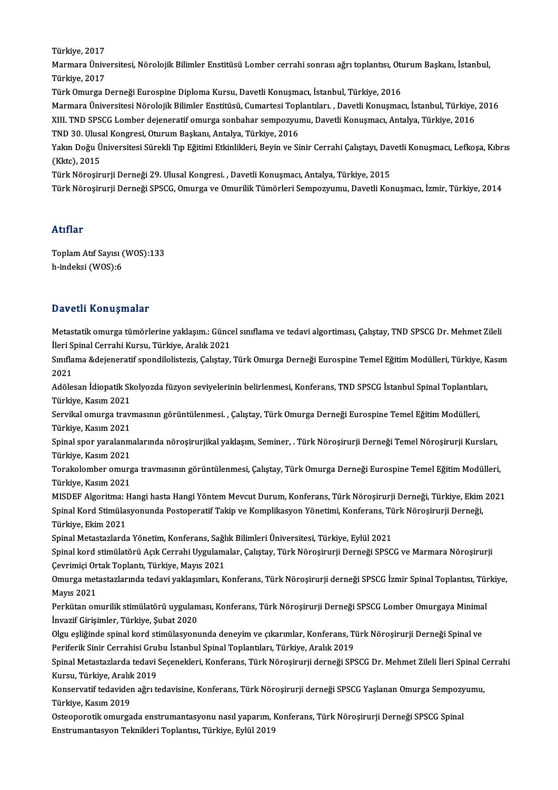Türkiye,2017

Türkiye, 2017<br>Marmara Üniversitesi, Nörolojik Bilimler Enstitüsü Lomber cerrahi sonrası ağrı toplantısı, Oturum Başkanı, İstanbul,<br>Türkiye, 2017 Türkiye, 2017<br>Marmara Üniv<br>Türkiye, 2017<br>Türk Omurga I Türkiye, 2017<br>Türk Omurga Derneği Eurospine Diploma Kursu, Davetli Konuşmacı, İstanbul, Türkiye, 2016<br>Marmara Üniversitesi Nörolojik Bilimler Enstitüsü, Cumartesi Toplantıları. , Davetli Konuşmacı, İstanbul, Türkiye, 2016<br>

Türkiye, 2017<br>Türk Omurga Derneği Eurospine Diploma Kursu, Davetli Konuşmacı, İstanbul, Türkiye, 2016

Türk Omurga Derneği Eurospine Diploma Kursu, Davetli Konuşmacı, İstanbul, Türkiye, 2016<br>Marmara Üniversitesi Nörolojik Bilimler Enstitüsü, Cumartesi Toplantıları. , Davetli Konuşmacı, İstanbul, Türkiye,<br>XIII. TND SPSCG Lom Marmara Üniversitesi Nörolojik Bilimler Enstitüsü, Cumartesi Top<br>XIII. TND SPSCG Lomber dejeneratif omurga sonbahar sempozyui<br>TND 30. Ulusal Kongresi, Oturum Başkanı, Antalya, Türkiye, 2016<br>Yakın Doğu Üniversitesi Sürekli TND 30. Ulusal Kongresi, Oturum Başkanı, Antalya, Türkiye, 2016

XIII. TND SPSCG Lomber dejeneratif omurga sonbahar sempozyumu, Davetli Konuşmacı, Antalya, Türkiye, 2016<br>TND 30. Ulusal Kongresi, Oturum Başkanı, Antalya, Türkiye, 2016<br>Yakın Doğu Üniversitesi Sürekli Tıp Eğitimi Etkinlikl

Türk Nöroşirurji Derneği 29. Ulusal Kongresi., Davetli Konuşmacı, Antalya, Türkiye, 2015

Türk Nöroşirurji Derneği SPSCG, Omurga ve Omurilik Tümörleri Sempozyumu, Davetli Konuşmacı, İzmir, Türkiye, 2014

### Atıflar

ToplamAtıf Sayısı (WOS):133 h-indeksi (WOS):6

### Davetli Konuşmalar

Davetli Konuşmalar<br>Metastatik omurga tümörlerine yaklaşım.: Güncel sınıflama ve tedavi algortiması, Çalıştay, TND SPSCG Dr. Mehmet Zileli<br>İleri Spinal Cerrebi Kurey, Türkiye, Aralık 2021 Buv Serr Fron ayınarar<br>Metastatik omurga tümörlerine yaklaşım.: Günce<br>İleri Spinal Cerrahi Kursu, Türkiye, Aralık 2021<br>Sınıflama êdeianeratif spendilelisteris, Celistev Metastatik omurga tümörlerine yaklaşım.: Güncel sınıflama ve tedavi algortiması, Çalıştay, TND SPSCG Dr. Mehmet Zileli<br>İleri Spinal Cerrahi Kursu, Türkiye, Aralık 2021<br>Sınıflama &dejeneratif spondilolistezis, Çalıştay, Tür

İleri Spinal Cerrahi Kursu, Türkiye, Aralık 2021<br>Sınıflama &dejeneratif spondilolistezis, Çalıştay,<br>2021 Sınıflama &dejeneratif spondilolistezis, Çalıştay, Türk Omurga Derneği Eurospine Temel Eğitim Modülleri, Türkiye, K<br>2021<br>Adölesan İdiopatik Skolyozda füzyon seviyelerinin belirlenmesi, Konferans, TND SPSCG İstanbul Spinal

Adölesan İdiopatik Skolyozda füzyon seviyelerinin belirlenmesi, Konferans, TND SPSCG İstanbul Spinal Toplantıları,<br>Türkiye, Kasım 2021 Adölesan İdiopatik Skolyozda füzyon seviyelerinin belirlenmesi, Konferans, TND SPSCG İstanbul Spinal Toplantıla<br>Türkiye, Kasım 2021<br>Servikal omurga travmasının görüntülenmesi. , Çalıştay, Türk Omurga Derneği Eurospine Teme

Türkiye, Kasım 2021<br>Servikal omurga travı<br>Türkiye, Kasım 2021<br>Sninal spor yaralanm Servikal omurga travmasının görüntülenmesi. , Çalıştay, Türk Omurga Derneği Eurospine Temel Eğitim Modülleri,<br>Türkiye, Kasım 2021<br>Spinal spor yaralanmalarında nöroşirurjikal yaklaşım, Seminer, . Türk Nöroşirurji Derneği Te

Türkiye, Kasım 2021<br>Spinal spor yaralanmalarında nöroşirurjikal yaklaşım, Seminer, . Türk Nöroşirurji Derneği Temel Nöroşirurji Kursları,<br>Türkiye, Kasım 2021 Spinal spor yaralanmalarında nöroşirurjikal yaklaşım, Seminer, . Türk Nöroşirurji Derneği Temel Nöroşirurji Kursları,<br>Türkiye, Kasım 2021<br>Türkiye, Kasım 2021

Türkiye, Kasım 2021<br>Torakolomber omurg<br>Türkiye, Kasım 2021<br>MISDEE Alsoritma: H Torakolomber omurga travmasının görüntülenmesi, Çalıştay, Türk Omurga Derneği Eurospine Temel Eğitim Modülleri,<br>Türkiye, Kasım 2021<br>MISDEF Algoritma: Hangi hasta Hangi Yöntem Mevcut Durum, Konferans, Türk Nöroşirurji Derne

Türkiye, Kasım 2021<br>MISDEF Algoritma: Hangi hasta Hangi Yöntem Mevcut Durum, Konferans, Türk Nöroşirurji Derneği, Türkiye, Ekim<br>Spinal Kord Stimülasyonunda Postoperatif Takip ve Komplikasyon Yönetimi, Konferans, Türk Nöroş MISDEF Algoritma: I<br>Spinal Kord Stimülas<br>Türkiye, Ekim 2021<br>Sninal Metastazlards Spinal Kord Stimülasyonunda Postoperatif Takip ve Komplikasyon Yönetimi, Konferans, Tü<br>Türkiye, Ekim 2021<br>Spinal Metastazlarda Yönetim, Konferans, Sağlık Bilimleri Üniversitesi, Türkiye, Eylül 2021<br>Spinal kord stimülatörü

Türkiye, Ekim 2021<br>Spinal Metastazlarda Yönetim, Konferans, Sağlık Bilimleri Üniversitesi, Türkiye, Eylül 2021<br>Spinal kord stimülatörü Açık Cerrahi Uygulamalar, Çalıştay, Türk Nöroşirurji Derneği SPSCG ve Marmara Nöroşirur Spinal Metastazlarda Yönetim, Konferans, Sağl<br>Spinal kord stimülatörü Açık Cerrahi Uygulam:<br>Çevrimiçi Ortak Toplantı, Türkiye, Mayıs 2021<br>Omurga matastarlarında tadayi yaklasımları. K Spinal kord stimülatörü Açık Cerrahi Uygulamalar, Çalıştay, Türk Nöroşirurji Derneği SPSCG ve Marmara Nöroşirurji<br>Çevrimiçi Ortak Toplantı, Türkiye, Mayıs 2021<br>Omurga metastazlarında tedavi yaklaşımları, Konferans, Türk Nö

Çevrimiçi Or<br>Omurga met<br>Mayıs 2021<br>Perkütan om Omurga metastazlarında tedavi yaklaşımları, Konferans, Türk Nöroşirurji derneği SPSCG İzmir Spinal Toplantısı, Tür<br>Mayıs 2021<br>Perkütan omurilik stimülatörü uygulaması, Konferans, Türk Nöroşirurji Derneği SPSCG Lomber Omurg

Mayıs 2021<br>Perkütan omurilik stimülatörü uygulam<br>İnvazif Girişimler, Türkiye, Şubat 2020<br>Olgu şeliğinde spinal kond etimülasyanı Perkütan omurilik stimülatörü uygulaması, Konferans, Türk Nöroşirurji Derneği SPSCG Lomber Omurgaya Minima<br>İnvazif Girişimler, Türkiye, Şubat 2020<br>Olgu eşliğinde spinal kord stimülasyonunda deneyim ve çıkarımlar, Konferans

İnvazif Girişimler, Türkiye, Şubat 2020<br>Olgu eşliğinde spinal kord stimülasyonunda deneyim ve çıkarımlar, Konferans, Türk Nöroşirurji Derneği Spinal ve<br>Periferik Sinir Cerrahisi Grubu İstanbul Spinal Toplantıları, Türkiye, Olgu eşliğinde spinal kord stimülasyonunda deneyim ve çıkarımlar, Konferans, Türk Nöroşirurji Derneği Spinal ve<br>Periferik Sinir Cerrahisi Grubu İstanbul Spinal Toplantıları, Türkiye, Aralık 2019<br>Spinal Metastazlarda tedavi

Periferik Sinir Cerrahisi Grul<br>Spinal Metastazlarda tedavi :<br>Kursu, Türkiye, Aralık 2019<br>Kansarvatif tedaviden ağrı te Spinal Metastazlarda tedavi Seçenekleri, Konferans, Türk Nöroşirurji derneği SPSCG Dr. Mehmet Zileli İleri Spinal C<br>Kursu, Türkiye, Aralık 2019<br>Konservatif tedaviden ağrı tedavisine, Konferans, Türk Nöroşirurji derneği SPS

Kursu, Türkiye, Aralık 2019<br>Konservatif tedaviden ağrı t<br>Türkiye, Kasım 2019 Konservatif tedaviden ağrı tedavisine, Konferans, Türk Nöroşirurji derneği SPSCG Yaşlanan Omurga Sempozyumu,<br>Türkiye, Kasım 2019<br>Osteoporotik omurgada enstrumantasyonu nasıl yaparım, Konferans, Türk Nöroşirurji Derneği SPS

Osteoporotik omurgada enstrumantasyonu nasıl yaparım, Konferans, Türk Nöroşirurji Derneği SPSCG Spinal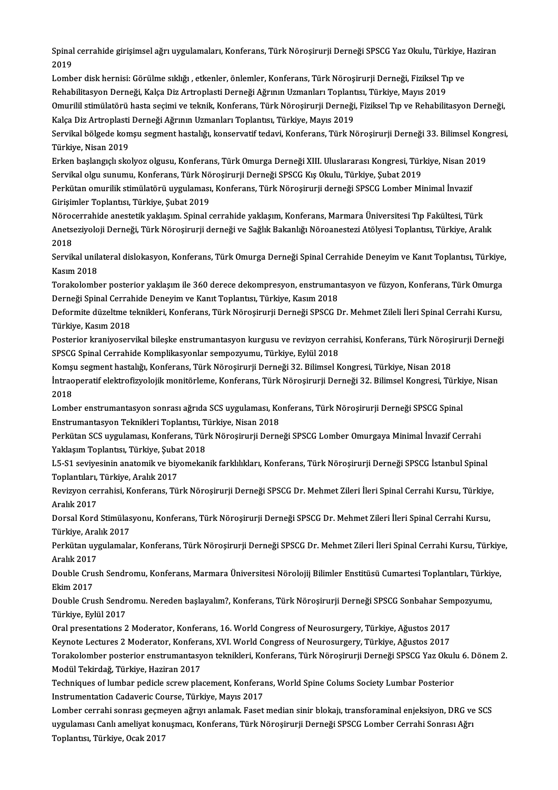Spinal cerrahide girişimsel ağrı uygulamaları, Konferans, Türk Nöroşirurji Derneği SPSCG Yaz Okulu, Türkiye, Haziran<br>2019 Spinal<br>2019<br>Lemb Spinal cerrahide girişimsel ağrı uygulamaları, Konferans, Türk Nöroşirurji Derneği SPSCG Yaz Okulu, Türkiye,<br>2019<br>Lomber disk hernisi: Görülme sıklığı , etkenler, önlemler, Konferans, Türk Nöroşirurji Derneği, Fiziksel Tıp

2019<br>Lomber disk hernisi: Görülme sıklığı , etkenler, önlemler, Konferans, Türk Nöroşirurji Derneği, Fiziksel Tı<br>Rehabilitasyon Derneği, Kalça Diz Artroplasti Derneği Ağrının Uzmanları Toplantısı, Türkiye, Mayıs 2019<br>Omuri Lomber disk hernisi: Görülme sıklığı , etkenler, önlemler, Konferans, Türk Nöroşirurji Derneği, Fiziksel Tıp ve<br>Rehabilitasyon Derneği, Kalça Diz Artroplasti Derneği Ağrının Uzmanları Toplantısı, Türkiye, Mayıs 2019<br>Omuril

Rehabilitasyon Derneği, Kalça Diz Artroplasti Derneği Ağrının Uzmanları Toplant<br>Omurilil stimülatörü hasta seçimi ve teknik, Konferans, Türk Nöroşirurji Derneği,<br>Kalça Diz Artroplasti Derneği Ağrının Uzmanları Toplantısı, Omurilil stimülatörü hasta seçimi ve teknik, Konferans, Türk Nöroşirurji Derneği, Fiziksel Tıp ve Rehabilitasyon Derneği,<br>Kalça Diz Artroplasti Derneği Ağrının Uzmanları Toplantısı, Türkiye, Mayıs 2019<br>Servikal bölgede kom

Kalça Diz Artroplasti<br>Servikal bölgede kon<br>Türkiye, Nisan 2019<br>Erken baslangeluske Servikal bölgede komşu segment hastalığı, konservatif tedavi, Konferans, Türk Nöroşirurji Derneği 33. Bilimsel Kon<sub>l</sub><br>Türkiye, Nisan 2019<br>Erken başlangıçlı skolyoz olgusu, Konferans, Türk Omurga Derneği XIII. Uluslararası

Türkiye, Nisan 2019<br>Erken başlangıçlı skolyoz olgusu, Konferans, Türk Omurga Derneği XIII. Uluslararası Kongresi, Tür<br>Servikal olgu sunumu, Konferans, Türk Nöroşirurji Derneği SPSCG Kış Okulu, Türkiye, Şubat 2019<br>Perkitan Erken başlangıçlı skolyoz olgusu, Konferans, Türk Omurga Derneği XIII. Uluslararası Kongresi, Türkiye, Nisan 20<br>Servikal olgu sunumu, Konferans, Türk Nöroşirurji Derneği SPSCG Kış Okulu, Türkiye, Şubat 2019<br>Perkütan omuril

Servikal olgu sunumu, Konferans, Türk Nö<br>Perkütan omurilik stimülatörü uygulaması<br>Girişimler Toplantısı, Türkiye, Şubat 2019<br>Nörogerrebide enestetik yaklasım, Spinal e Perkütan omurilik stimülatörü uygulaması, Konferans, Türk Nöroşirurji derneği SPSCG Lomber Minimal İnvazif<br>Girişimler Toplantısı, Türkiye, Şubat 2019<br>Nörocerrahide anestetik yaklaşım. Spinal cerrahide yaklaşım, Konferans,

Girişimler Toplantısı, Türkiye, Şubat 2019<br>Nörocerrahide anestetik yaklaşım. Spinal cerrahide yaklaşım, Konferans, Marmara Üniversitesi Tıp Fakültesi, Türk<br>Anetseziyoloji Derneği, Türk Nöroşirurji derneği ve Sağlık Bakanlı Nöroc<br>Anets<br>2018<br>Servik Anetseziyoloji Derneği, Türk Nöroşirurji derneği ve Sağlık Bakanlığı Nöroanestezi Atölyesi Toplantısı, Türkiye, Aralık<br>2018<br>Servikal unilateral dislokasyon, Konferans, Türk Omurga Derneği Spinal Cerrahide Deneyim ve Kanıt

2018<br>Servikal unil:<br>Kasım 2018<br>Terekelemb Servikal unilateral dislokasyon, Konferans, Türk Omurga Derneği Spinal Cerrahide Deneyim ve Kanıt Toplantısı, Türkiye<br>Kasım 2018<br>Torakolomber posterior yaklaşım ile 360 derece dekompresyon, enstrumantasyon ve füzyon, Konfe

Kasım 2018<br>Torakolomber posterior yaklaşım ile 360 derece dekompresyon, enstrumantasyon ve füzyon, Konferans, Türk Omurga<br>Derneği Spinal Cerrahide Deneyim ve Kanıt Toplantısı, Türkiye, Kasım 2018 Torakolomber posterior yaklaşım ile 360 derece dekompresyon, enstrumantasyon ve füzyon, Konferans, Türk Omurga<br>Derneği Spinal Cerrahide Deneyim ve Kanıt Toplantısı, Türkiye, Kasım 2018<br>Deformite düzeltme teknikleri, Konfer

Derneği Spinal Cerral<br>Deformite düzeltme t<br>Türkiye, Kasım 2018<br>Postoriar kraniyasarı Deformite düzeltme teknikleri, Konferans, Türk Nöroşirurji Derneği SPSCG Dr. Mehmet Zileli İleri Spinal Cerrahi Kursu,<br>Türkiye, Kasım 2018<br>Posterior kraniyoservikal bileşke enstrumantasyon kurgusu ve revizyon cerrahisi, Ko

Türkiye, Kasım 2018<br>Posterior kraniyoservikal bileşke enstrumantasyon kurgusu ve revizyon cer<br>SPSCG Spinal Cerrahide Komplikasyonlar sempozyumu, Türkiye, Eylül 2018 Posterior kraniyoservikal bileşke enstrumantasyon kurgusu ve revizyon cerrahisi, Konferans, Türk Nöroşirurji Derneği

SPSCG Spinal Cerrahide Komplikasyonlar sempozyumu, Türkiye, Eylül 2018<br>Komşu segment hastalığı, Konferans, Türk Nöroşirurji Derneği 32. Bilimsel Kongresi, Türkiye, Nisan 2018<br>İntraoperatif elektrofizyolojik monitörleme, Ko Komşu segment hastalığı, Konferans, Türk Nöroşirurji Derneği 32. Bilimsel Kongresi, Türkiye, Nisan 2018<br>İntraoperatif elektrofizyolojik monitörleme, Konferans, Türk Nöroşirurji Derneği 32. Bilimsel Kongresi, Türki<br>2018<br>Lom İntraoperatif elektrofizyolojik monitörleme, Konferans, Türk Nöroşirurji Derneği 32. Bilimsel Kongresi, Türki<br>2018<br>Lomber enstrumantasyon sonrası ağrıda SCS uygulaması, Konferans, Türk Nöroşirurji Derneği SPSCG Spinal<br>Enst

Enstrumantasyon Teknikleri Toplantısı, Türkiye, Nisan 2018 Lomber enstrumantasyon sonrası ağrıda SCS uygulaması, Konferans, Türk Nöroşirurji Derneği SPSCG Spinal<br>Enstrumantasyon Teknikleri Toplantısı, Türkiye, Nisan 2018<br>Perkütan SCS uygulaması, Konferans, Türk Nöroşirurji Derneği

Enstrumantasyon Teknikleri Toplantısı, T<br>Perkütan SCS uygulaması, Konferans, Tür<br>Yaklaşım Toplantısı, Türkiye, Şubat 2018<br>LE S1 seviyesinin anatomik ve biyomakan Perkütan SCS uygulaması, Konferans, Türk Nöroşirurji Derneği SPSCG Lomber Omurgaya Minimal İnvazif Cerrahi<br>Yaklaşım Toplantısı, Türkiye, Şubat 2018<br>L5-S1 seviyesinin anatomik ve biyomekanik farklılıkları, Konferans, Türk N

Yaklaşım Toplantısı, Türkiye, Şubat 2018<br>L5-S1 seviyesinin anatomik ve biyomekanik farklılıkları, Konferans, Türk Nöroşirurji Derneği SPSCG İstanbul Spinal<br>Toplantıları, Türkiye, Aralık 2017 L5-S1 seviyesinin anatomik ve biyomekanik farklılıkları, Konferans, Türk Nöroşirurji Derneği SPSCG İstanbul Spinal<br>Toplantıları, Türkiye, Aralık 2017<br>Revizyon cerrahisi, Konferans, Türk Nöroşirurji Derneği SPSCG Dr. Mehmet

Toplantıları,<br>Revizyon cer<br>Aralık 2017<br>Dorsal Kord Revizyon cerrahisi, Konferans, Türk Nöroşirurji Derneği SPSCG Dr. Mehmet Zileri İleri Spinal Cerrahi Kursu, Türkiye<br>Aralık 2017<br>Dorsal Kord Stimülasyonu, Konferans, Türk Nöroşirurji Derneği SPSCG Dr. Mehmet Zileri İleri Sp

Aralık 2017<br>Dorsal Kord Stimülasyonu, Konferans, Türk Nöroşirurji Derneği SPSCG Dr. Mehmet Zileri İleri Spinal Cerrahi Kursu,<br>Türkive, Aralık 2017 Dorsal Kord Stimülasyonu, Konferans, Türk Nöroşirurji Derneği SPSCG Dr. Mehmet Zileri İleri Spinal Cerrahi Kursu,<br>Türkiye, Aralık 2017<br>Perkütan uygulamalar, Konferans, Türk Nöroşirurji Derneği SPSCG Dr. Mehmet Zileri İleri

Türkiye, Ara<br>Perkütan uy<sub>i</sub><br>Aralık 2017<br>Double Crus Perkütan uygulamalar, Konferans, Türk Nöroşirurji Derneği SPSCG Dr. Mehmet Zileri İleri Spinal Cerrahi Kursu, Türkiye<br>Aralık 2017<br>Double Crush Sendromu, Konferans, Marmara Üniversitesi Nörolojij Bilimler Enstitüsü Cumartes

Aralık 2017<br>Double Crus<br>Ekim 2017 Double Crush Sendromu, Konferans, Marmara Üniversitesi Nörolojij Bilimler Enstitüsü Cumartesi Toplantıları, Türkiye,<br>Ekim 2017<br>Double Crush Sendromu. Nereden başlayalım?, Konferans, Türk Nöroşirurji Derneği SPSCG Sonbahar

Ekim 2017<br>Double Crush Sendr<br>Türkiye, Eylül 2017<br>Oral presentations 2 Double Crush Sendromu. Nereden başlayalım?, Konferans, Türk Nöroşirurji Derneği SPSCG Sonbahar Sen<br>Türkiye, Eylül 2017<br>Oral presentations 2 Moderator, Konferans, 16. World Congress of Neurosurgery, Türkiye, Ağustos 2017<br>Ka

Oral presentations 2 Moderator, Konferans, 16. World Congress of Neurosurgery, Türkiye, Ağustos 2017<br>Keynote Lectures 2 Moderator, Konferans, XVI. World Congress of Neurosurgery, Türkiye, Ağustos 2017

Torakolomber posterior enstrumantasyon teknikleri, Konferans, Türk Nörosirurji Derneği SPSCG Yaz Okulu 6. Dönem 2. Modül Tekirdağ, Türkiye, Haziran 2017 Torakolomber posterior enstrumantasyon teknikleri, Konferans, Türk Nöroşirurji Derneği SPSCG Yaz Okul<mark>:</mark><br>Modül Tekirdağ, Türkiye, Haziran 2017<br>Techniques of lumbar pedicle screw placement, Konferans, World Spine Colums Soc

Modül Tekirdağ, Türkiye, Haziran 2017<br>Techniques of lumbar pedicle screw placement, Konferal<br>Instrumentation Cadaveric Course, Türkiye, Mayıs 2017<br>Lambar sarrabi sanrası gesmeyen ağrun anlamak, Esset Instrumentation Cadaveric Course, Türkiye, Mayıs 2017<br>Lomber cerrahi sonrası geçmeyen ağrıyı anlamak. Faset median sinir blokajı, transforaminal enjeksiyon, DRG ve SCS

Instrumentation Cadaveric Course, Türkiye, Mayıs 2017<br>Lomber cerrahi sonrası geçmeyen ağrıyı anlamak. Faset median sinir blokajı, transforaminal enjeksiyon, DRG ve<br>uygulaması Canlı ameliyat konuşmacı, Konferans, Türk Nöroş Lomber cerrahi sonrası geçme<br>uygulaması Canlı ameliyat kon<br>Toplantısı, Türkiye, Ocak 2017